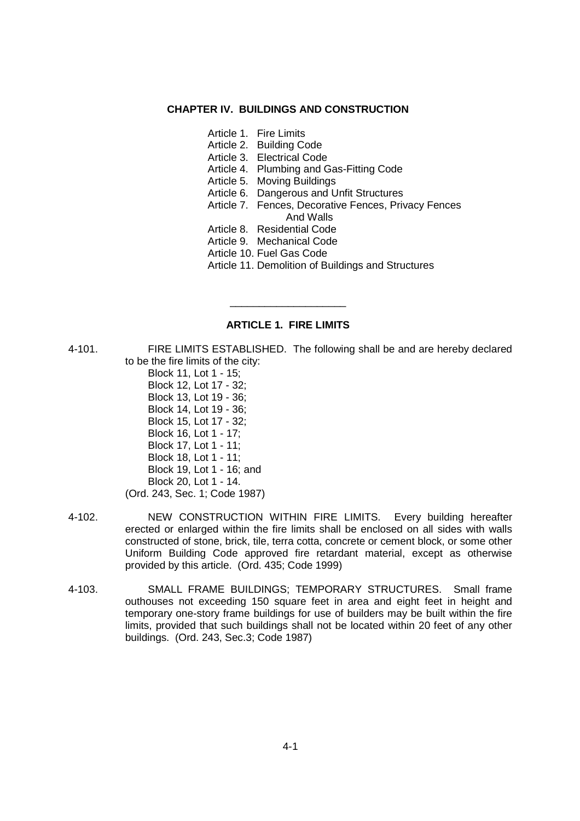#### **CHAPTER IV. BUILDINGS AND CONSTRUCTION**

- Article 1. Fire Limits
- Article 2. Building Code
- Article 3. Electrical Code
- Article 4. Plumbing and Gas-Fitting Code
- Article 5. Moving Buildings
- Article 6. Dangerous and Unfit Structures
- Article 7. Fences, Decorative Fences, Privacy Fences And Walls
- Article 8. Residential Code
- Article 9. Mechanical Code
- Article 10. Fuel Gas Code
- Article 11. Demolition of Buildings and Structures

## **ARTICLE 1. FIRE LIMITS**

\_\_\_\_\_\_\_\_\_\_\_\_\_\_\_\_\_\_\_\_

- 4-101. FIRE LIMITS ESTABLISHED. The following shall be and are hereby declared to be the fire limits of the city:
	- Block 11, Lot 1 15; Block 12, Lot 17 - 32; Block 13, Lot 19 - 36; Block 14, Lot 19 - 36; Block 15, Lot 17 - 32; Block 16, Lot 1 - 17; Block 17, Lot 1 - 11; Block 18, Lot 1 - 11; Block 19, Lot 1 - 16; and Block 20, Lot 1 - 14. (Ord. 243, Sec. 1; Code 1987)
- 4-102. NEW CONSTRUCTION WITHIN FIRE LIMITS. Every building hereafter erected or enlarged within the fire limits shall be enclosed on all sides with walls constructed of stone, brick, tile, terra cotta, concrete or cement block, or some other Uniform Building Code approved fire retardant material, except as otherwise provided by this article. (Ord. 435; Code 1999)
- 4-103. SMALL FRAME BUILDINGS; TEMPORARY STRUCTURES. Small frame outhouses not exceeding 150 square feet in area and eight feet in height and temporary one-story frame buildings for use of builders may be built within the fire limits, provided that such buildings shall not be located within 20 feet of any other buildings. (Ord. 243, Sec.3; Code 1987)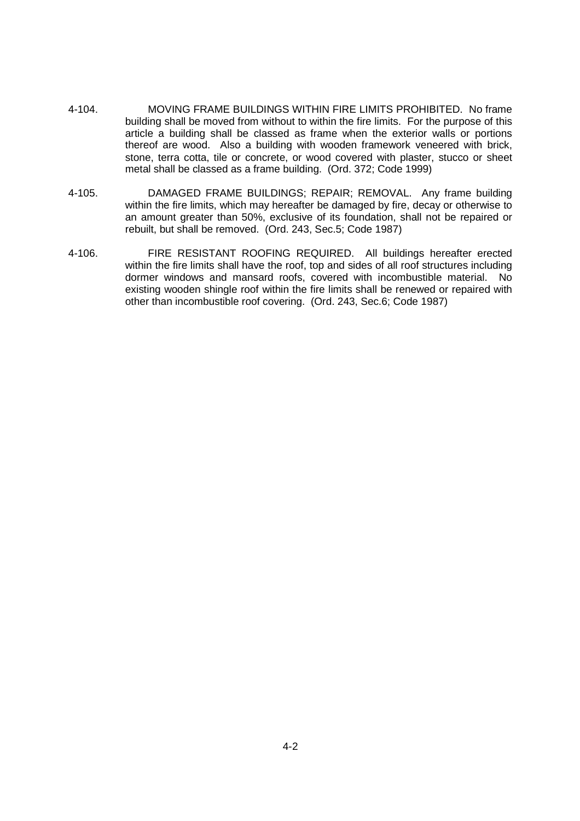- 4-104. MOVING FRAME BUILDINGS WITHIN FIRE LIMITS PROHIBITED. No frame building shall be moved from without to within the fire limits. For the purpose of this article a building shall be classed as frame when the exterior walls or portions thereof are wood. Also a building with wooden framework veneered with brick, stone, terra cotta, tile or concrete, or wood covered with plaster, stucco or sheet metal shall be classed as a frame building. (Ord. 372; Code 1999)
- 4-105. DAMAGED FRAME BUILDINGS; REPAIR; REMOVAL. Any frame building within the fire limits, which may hereafter be damaged by fire, decay or otherwise to an amount greater than 50%, exclusive of its foundation, shall not be repaired or rebuilt, but shall be removed. (Ord. 243, Sec.5; Code 1987)
- 4-106. FIRE RESISTANT ROOFING REQUIRED. All buildings hereafter erected within the fire limits shall have the roof, top and sides of all roof structures including dormer windows and mansard roofs, covered with incombustible material. No existing wooden shingle roof within the fire limits shall be renewed or repaired with other than incombustible roof covering. (Ord. 243, Sec.6; Code 1987)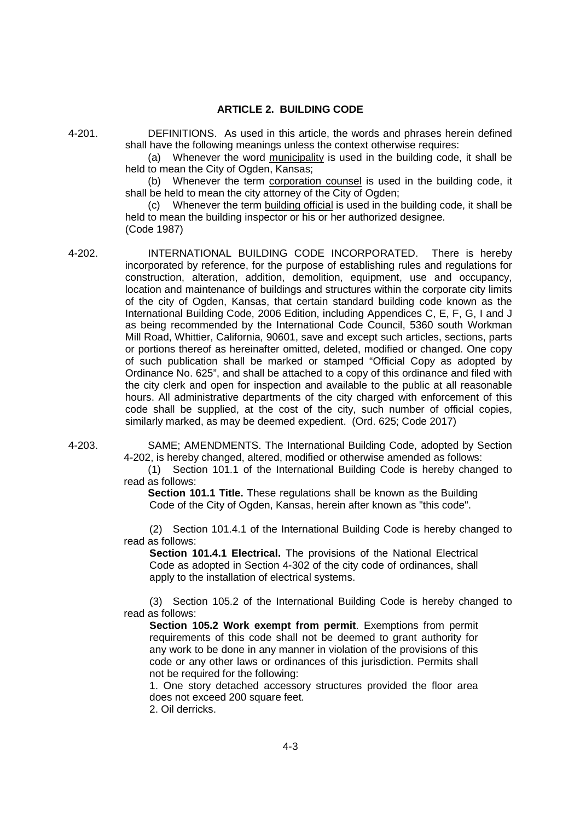## **ARTICLE 2. BUILDING CODE**

4-201. DEFINITIONS. As used in this article, the words and phrases herein defined shall have the following meanings unless the context otherwise requires:

(a) Whenever the word municipality is used in the building code, it shall be held to mean the City of Ogden, Kansas:

(b) Whenever the term corporation counsel is used in the building code, it shall be held to mean the city attorney of the City of Ogden;

(c) Whenever the term building official is used in the building code, it shall be held to mean the building inspector or his or her authorized designee. (Code 1987)

4-202. INTERNATIONAL BUILDING CODE INCORPORATED. There is hereby incorporated by reference, for the purpose of establishing rules and regulations for construction, alteration, addition, demolition, equipment, use and occupancy, location and maintenance of buildings and structures within the corporate city limits of the city of Ogden, Kansas, that certain standard building code known as the International Building Code, 2006 Edition, including Appendices C, E, F, G, I and J as being recommended by the International Code Council, 5360 south Workman Mill Road, Whittier, California, 90601, save and except such articles, sections, parts or portions thereof as hereinafter omitted, deleted, modified or changed. One copy of such publication shall be marked or stamped "Official Copy as adopted by Ordinance No. 625", and shall be attached to a copy of this ordinance and filed with the city clerk and open for inspection and available to the public at all reasonable hours. All administrative departments of the city charged with enforcement of this code shall be supplied, at the cost of the city, such number of official copies, similarly marked, as may be deemed expedient. (Ord. 625; Code 2017)

4-203. SAME; AMENDMENTS. The International Building Code, adopted by Section 4-202, is hereby changed, altered, modified or otherwise amended as follows:

> (1) Section 101.1 of the International Building Code is hereby changed to read as follows:

**Section 101.1 Title.** These regulations shall be known as the Building Code of the City of Ogden, Kansas, herein after known as "this code".

(2) Section 101.4.1 of the International Building Code is hereby changed to read as follows:

**Section 101.4.1 Electrical.** The provisions of the National Electrical Code as adopted in Section 4-302 of the city code of ordinances, shall apply to the installation of electrical systems.

(3) Section 105.2 of the International Building Code is hereby changed to read as follows:

**Section 105.2 Work exempt from permit**. Exemptions from permit requirements of this code shall not be deemed to grant authority for any work to be done in any manner in violation of the provisions of this code or any other laws or ordinances of this jurisdiction. Permits shall not be required for the following:

1. One story detached accessory structures provided the floor area does not exceed 200 square feet.

2. Oil derricks.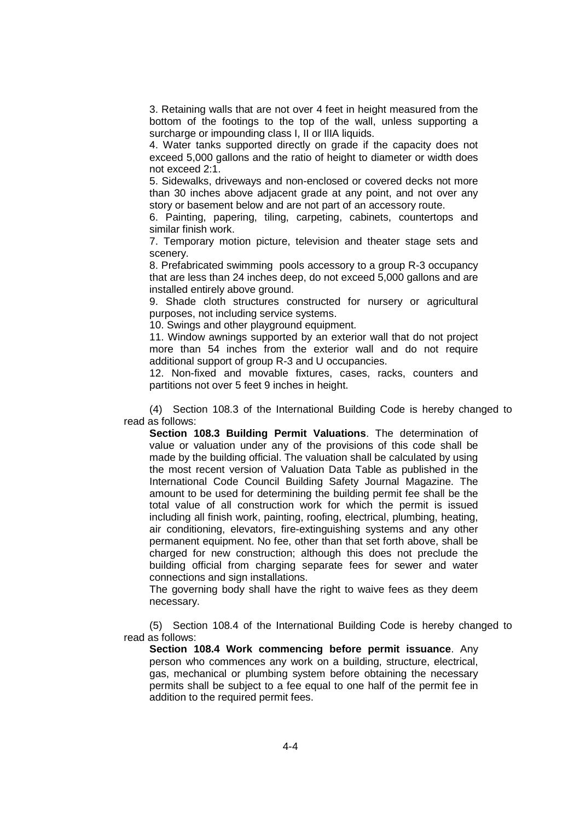3. Retaining walls that are not over 4 feet in height measured from the bottom of the footings to the top of the wall, unless supporting a surcharge or impounding class I, II or IlIA liquids.

4. Water tanks supported directly on grade if the capacity does not exceed 5,000 gallons and the ratio of height to diameter or width does not exceed 2:1.

5. Sidewalks, driveways and non-enclosed or covered decks not more than 30 inches above adjacent grade at any point, and not over any story or basement below and are not part of an accessory route.

6. Painting, papering, tiling, carpeting, cabinets, countertops and similar finish work.

7. Temporary motion picture, television and theater stage sets and scenery.

8. Prefabricated swimming pools accessory to a group R-3 occupancy that are less than 24 inches deep, do not exceed 5,000 gallons and are installed entirely above ground.

9. Shade cloth structures constructed for nursery or agricultural purposes, not including service systems.

10. Swings and other playground equipment.

11. Window awnings supported by an exterior wall that do not project more than 54 inches from the exterior wall and do not require additional support of group R-3 and U occupancies.

12. Non-fixed and movable fixtures, cases, racks, counters and partitions not over 5 feet 9 inches in height.

(4) Section 108.3 of the International Building Code is hereby changed to read as follows:

**Section 108.3 Building Permit Valuations**. The determination of value or valuation under any of the provisions of this code shall be made by the building official. The valuation shall be calculated by using the most recent version of Valuation Data Table as published in the International Code Council Building Safety Journal Magazine. The amount to be used for determining the building permit fee shall be the total value of all construction work for which the permit is issued including all finish work, painting, roofing, electrical, plumbing, heating, air conditioning, elevators, fire-extinguishing systems and any other permanent equipment. No fee, other than that set forth above, shall be charged for new construction; although this does not preclude the building official from charging separate fees for sewer and water connections and sign installations.

The governing body shall have the right to waive fees as they deem necessary.

(5) Section 108.4 of the International Building Code is hereby changed to read as follows:

**Section 108.4 Work commencing before permit issuance**. Any person who commences any work on a building, structure, electrical, gas, mechanical or plumbing system before obtaining the necessary permits shall be subject to a fee equal to one half of the permit fee in addition to the required permit fees.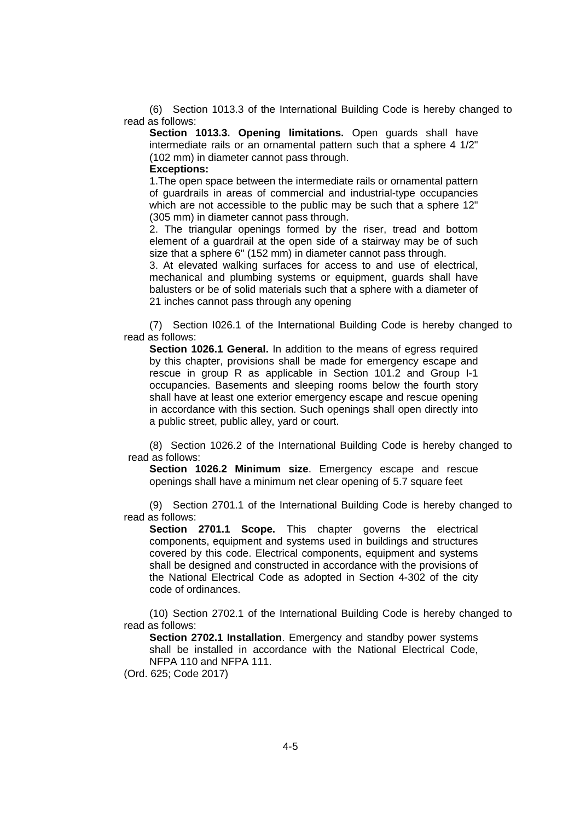(6) Section 1013.3 of the International Building Code is hereby changed to read as follows:

**Section 1013.3. Opening limitations.** Open guards shall have intermediate rails or an ornamental pattern such that a sphere 4 1/2" (102 mm) in diameter cannot pass through.

#### **Exceptions:**

1.The open space between the intermediate rails or ornamental pattern of guardrails in areas of commercial and industrial-type occupancies which are not accessible to the public may be such that a sphere 12" (305 mm) in diameter cannot pass through.

2. The triangular openings formed by the riser, tread and bottom element of a guardrail at the open side of a stairway may be of such size that a sphere 6" (152 mm) in diameter cannot pass through.

3. At elevated walking surfaces for access to and use of electrical, mechanical and plumbing systems or equipment, guards shall have balusters or be of solid materials such that a sphere with a diameter of 21 inches cannot pass through any opening

(7) Section I026.1 of the International Building Code is hereby changed to read as follows:

**Section 1026.1 General.** In addition to the means of egress required by this chapter, provisions shall be made for emergency escape and rescue in group R as applicable in Section 101.2 and Group I-1 occupancies. Basements and sleeping rooms below the fourth story shall have at least one exterior emergency escape and rescue opening in accordance with this section. Such openings shall open directly into a public street, public alley, yard or court.

(8) Section 1026.2 of the International Building Code is hereby changed to read as follows:

**Section 1026.2 Minimum size**. Emergency escape and rescue openings shall have a minimum net clear opening of 5.7 square feet

(9) Section 2701.1 of the International Building Code is hereby changed to read as follows:

**Section 2701.1 Scope.** This chapter governs the electrical components, equipment and systems used in buildings and structures covered by this code. Electrical components, equipment and systems shall be designed and constructed in accordance with the provisions of the National Electrical Code as adopted in Section 4-302 of the city code of ordinances.

(10) Section 2702.1 of the International Building Code is hereby changed to read as follows:

**Section 2702.1 Installation**. Emergency and standby power systems shall be installed in accordance with the National Electrical Code, NFPA 110 and NFPA 111.

(Ord. 625; Code 2017)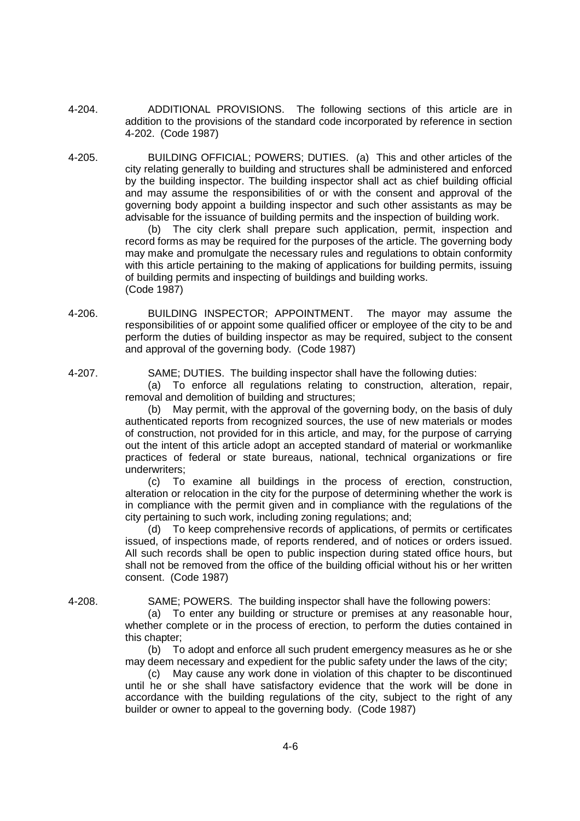- 4-204. ADDITIONAL PROVISIONS. The following sections of this article are in addition to the provisions of the standard code incorporated by reference in section 4-202. (Code 1987)
- 4-205. BUILDING OFFICIAL; POWERS; DUTIES. (a) This and other articles of the city relating generally to building and structures shall be administered and enforced by the building inspector. The building inspector shall act as chief building official and may assume the responsibilities of or with the consent and approval of the governing body appoint a building inspector and such other assistants as may be advisable for the issuance of building permits and the inspection of building work.

(b) The city clerk shall prepare such application, permit, inspection and record forms as may be required for the purposes of the article. The governing body may make and promulgate the necessary rules and regulations to obtain conformity with this article pertaining to the making of applications for building permits, issuing of building permits and inspecting of buildings and building works. (Code 1987)

4-206. BUILDING INSPECTOR; APPOINTMENT. The mayor may assume the responsibilities of or appoint some qualified officer or employee of the city to be and perform the duties of building inspector as may be required, subject to the consent and approval of the governing body. (Code 1987)

4-207. SAME; DUTIES. The building inspector shall have the following duties:

(a) To enforce all regulations relating to construction, alteration, repair, removal and demolition of building and structures;

(b) May permit, with the approval of the governing body, on the basis of duly authenticated reports from recognized sources, the use of new materials or modes of construction, not provided for in this article, and may, for the purpose of carrying out the intent of this article adopt an accepted standard of material or workmanlike practices of federal or state bureaus, national, technical organizations or fire underwriters;

(c) To examine all buildings in the process of erection, construction, alteration or relocation in the city for the purpose of determining whether the work is in compliance with the permit given and in compliance with the regulations of the city pertaining to such work, including zoning regulations; and;

(d) To keep comprehensive records of applications, of permits or certificates issued, of inspections made, of reports rendered, and of notices or orders issued. All such records shall be open to public inspection during stated office hours, but shall not be removed from the office of the building official without his or her written consent. (Code 1987)

4-208. SAME; POWERS. The building inspector shall have the following powers:

(a) To enter any building or structure or premises at any reasonable hour, whether complete or in the process of erection, to perform the duties contained in this chapter;

(b) To adopt and enforce all such prudent emergency measures as he or she may deem necessary and expedient for the public safety under the laws of the city;

(c) May cause any work done in violation of this chapter to be discontinued until he or she shall have satisfactory evidence that the work will be done in accordance with the building regulations of the city, subject to the right of any builder or owner to appeal to the governing body. (Code 1987)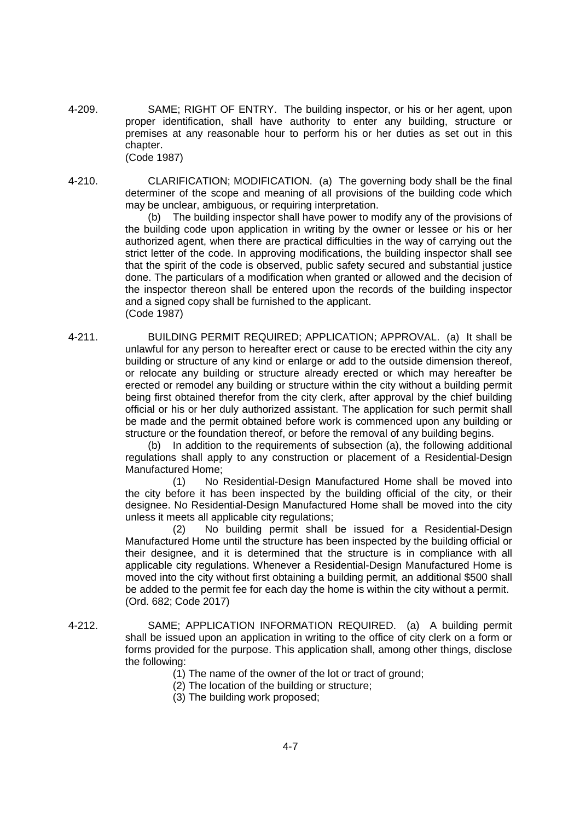4-209. SAME; RIGHT OF ENTRY. The building inspector, or his or her agent, upon proper identification, shall have authority to enter any building, structure or premises at any reasonable hour to perform his or her duties as set out in this chapter. (Code 1987)

4-210. CLARIFICATION; MODIFICATION. (a) The governing body shall be the final determiner of the scope and meaning of all provisions of the building code which may be unclear, ambiguous, or requiring interpretation.

> (b) The building inspector shall have power to modify any of the provisions of the building code upon application in writing by the owner or lessee or his or her authorized agent, when there are practical difficulties in the way of carrying out the strict letter of the code. In approving modifications, the building inspector shall see that the spirit of the code is observed, public safety secured and substantial justice done. The particulars of a modification when granted or allowed and the decision of the inspector thereon shall be entered upon the records of the building inspector and a signed copy shall be furnished to the applicant. (Code 1987)

4-211. BUILDING PERMIT REQUIRED; APPLICATION; APPROVAL. (a) It shall be unlawful for any person to hereafter erect or cause to be erected within the city any building or structure of any kind or enlarge or add to the outside dimension thereof, or relocate any building or structure already erected or which may hereafter be erected or remodel any building or structure within the city without a building permit being first obtained therefor from the city clerk, after approval by the chief building official or his or her duly authorized assistant. The application for such permit shall be made and the permit obtained before work is commenced upon any building or structure or the foundation thereof, or before the removal of any building begins.

(b) In addition to the requirements of subsection (a), the following additional regulations shall apply to any construction or placement of a Residential-Design Manufactured Home;

(1) No Residential-Design Manufactured Home shall be moved into the city before it has been inspected by the building official of the city, or their designee. No Residential-Design Manufactured Home shall be moved into the city unless it meets all applicable city regulations;

(2) No building permit shall be issued for a Residential-Design Manufactured Home until the structure has been inspected by the building official or their designee, and it is determined that the structure is in compliance with all applicable city regulations. Whenever a Residential-Design Manufactured Home is moved into the city without first obtaining a building permit, an additional \$500 shall be added to the permit fee for each day the home is within the city without a permit. (Ord. 682; Code 2017)

- 4-212. SAME; APPLICATION INFORMATION REQUIRED. (a) A building permit shall be issued upon an application in writing to the office of city clerk on a form or forms provided for the purpose. This application shall, among other things, disclose the following:
	- (1) The name of the owner of the lot or tract of ground;
	- (2) The location of the building or structure;
	- (3) The building work proposed;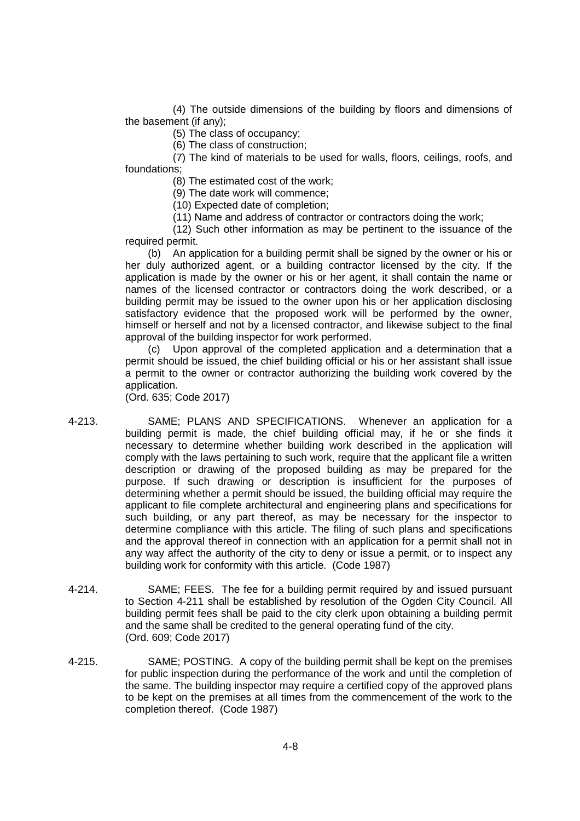(4) The outside dimensions of the building by floors and dimensions of the basement (if any);

(5) The class of occupancy;

(6) The class of construction;

(7) The kind of materials to be used for walls, floors, ceilings, roofs, and foundations;

(8) The estimated cost of the work;

(9) The date work will commence;

(10) Expected date of completion;

(11) Name and address of contractor or contractors doing the work;

(12) Such other information as may be pertinent to the issuance of the required permit.

(b) An application for a building permit shall be signed by the owner or his or her duly authorized agent, or a building contractor licensed by the city. If the application is made by the owner or his or her agent, it shall contain the name or names of the licensed contractor or contractors doing the work described, or a building permit may be issued to the owner upon his or her application disclosing satisfactory evidence that the proposed work will be performed by the owner, himself or herself and not by a licensed contractor, and likewise subject to the final approval of the building inspector for work performed.

(c) Upon approval of the completed application and a determination that a permit should be issued, the chief building official or his or her assistant shall issue a permit to the owner or contractor authorizing the building work covered by the application.

(Ord. 635; Code 2017)

- 4-213. SAME; PLANS AND SPECIFICATIONS. Whenever an application for a building permit is made, the chief building official may, if he or she finds it necessary to determine whether building work described in the application will comply with the laws pertaining to such work, require that the applicant file a written description or drawing of the proposed building as may be prepared for the purpose. If such drawing or description is insufficient for the purposes of determining whether a permit should be issued, the building official may require the applicant to file complete architectural and engineering plans and specifications for such building, or any part thereof, as may be necessary for the inspector to determine compliance with this article. The filing of such plans and specifications and the approval thereof in connection with an application for a permit shall not in any way affect the authority of the city to deny or issue a permit, or to inspect any building work for conformity with this article. (Code 1987)
- 4-214. SAME; FEES. The fee for a building permit required by and issued pursuant to Section 4-211 shall be established by resolution of the Ogden City Council. All building permit fees shall be paid to the city clerk upon obtaining a building permit and the same shall be credited to the general operating fund of the city. (Ord. 609; Code 2017)
- 4-215. SAME; POSTING. A copy of the building permit shall be kept on the premises for public inspection during the performance of the work and until the completion of the same. The building inspector may require a certified copy of the approved plans to be kept on the premises at all times from the commencement of the work to the completion thereof. (Code 1987)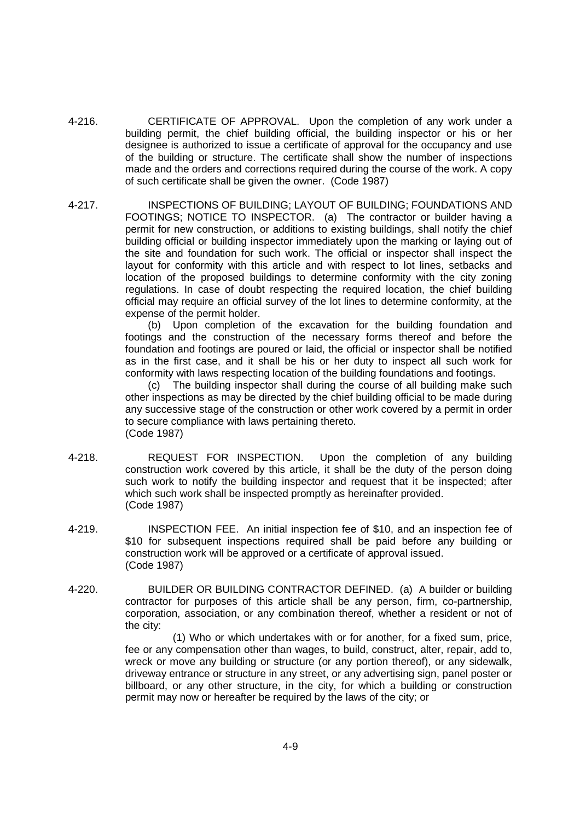- 4-216. CERTIFICATE OF APPROVAL. Upon the completion of any work under a building permit, the chief building official, the building inspector or his or her designee is authorized to issue a certificate of approval for the occupancy and use of the building or structure. The certificate shall show the number of inspections made and the orders and corrections required during the course of the work. A copy of such certificate shall be given the owner. (Code 1987)
- 4-217. INSPECTIONS OF BUILDING; LAYOUT OF BUILDING; FOUNDATIONS AND FOOTINGS; NOTICE TO INSPECTOR. (a) The contractor or builder having a permit for new construction, or additions to existing buildings, shall notify the chief building official or building inspector immediately upon the marking or laying out of the site and foundation for such work. The official or inspector shall inspect the layout for conformity with this article and with respect to lot lines, setbacks and location of the proposed buildings to determine conformity with the city zoning regulations. In case of doubt respecting the required location, the chief building official may require an official survey of the lot lines to determine conformity, at the expense of the permit holder.

(b) Upon completion of the excavation for the building foundation and footings and the construction of the necessary forms thereof and before the foundation and footings are poured or laid, the official or inspector shall be notified as in the first case, and it shall be his or her duty to inspect all such work for conformity with laws respecting location of the building foundations and footings.

(c) The building inspector shall during the course of all building make such other inspections as may be directed by the chief building official to be made during any successive stage of the construction or other work covered by a permit in order to secure compliance with laws pertaining thereto. (Code 1987)

- 4-218. REQUEST FOR INSPECTION. Upon the completion of any building construction work covered by this article, it shall be the duty of the person doing such work to notify the building inspector and request that it be inspected; after which such work shall be inspected promptly as hereinafter provided. (Code 1987)
- 4-219. INSPECTION FEE. An initial inspection fee of \$10, and an inspection fee of \$10 for subsequent inspections required shall be paid before any building or construction work will be approved or a certificate of approval issued. (Code 1987)
- 4-220. BUILDER OR BUILDING CONTRACTOR DEFINED. (a) A builder or building contractor for purposes of this article shall be any person, firm, co-partnership, corporation, association, or any combination thereof, whether a resident or not of the city:

(1) Who or which undertakes with or for another, for a fixed sum, price, fee or any compensation other than wages, to build, construct, alter, repair, add to, wreck or move any building or structure (or any portion thereof), or any sidewalk, driveway entrance or structure in any street, or any advertising sign, panel poster or billboard, or any other structure, in the city, for which a building or construction permit may now or hereafter be required by the laws of the city; or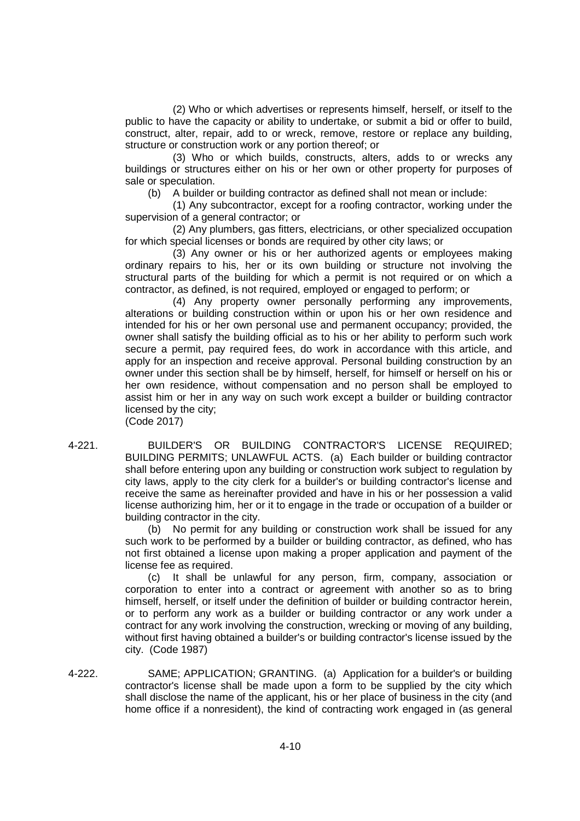(2) Who or which advertises or represents himself, herself, or itself to the public to have the capacity or ability to undertake, or submit a bid or offer to build, construct, alter, repair, add to or wreck, remove, restore or replace any building, structure or construction work or any portion thereof; or

(3) Who or which builds, constructs, alters, adds to or wrecks any buildings or structures either on his or her own or other property for purposes of sale or speculation.

(b) A builder or building contractor as defined shall not mean or include:

(1) Any subcontractor, except for a roofing contractor, working under the supervision of a general contractor; or

(2) Any plumbers, gas fitters, electricians, or other specialized occupation for which special licenses or bonds are required by other city laws; or

(3) Any owner or his or her authorized agents or employees making ordinary repairs to his, her or its own building or structure not involving the structural parts of the building for which a permit is not required or on which a contractor, as defined, is not required, employed or engaged to perform; or

(4) Any property owner personally performing any improvements, alterations or building construction within or upon his or her own residence and intended for his or her own personal use and permanent occupancy; provided, the owner shall satisfy the building official as to his or her ability to perform such work secure a permit, pay required fees, do work in accordance with this article, and apply for an inspection and receive approval. Personal building construction by an owner under this section shall be by himself, herself, for himself or herself on his or her own residence, without compensation and no person shall be employed to assist him or her in any way on such work except a builder or building contractor licensed by the city;

(Code 2017)

4-221. BUILDER'S OR BUILDING CONTRACTOR'S LICENSE REQUIRED; BUILDING PERMITS; UNLAWFUL ACTS. (a) Each builder or building contractor shall before entering upon any building or construction work subject to regulation by city laws, apply to the city clerk for a builder's or building contractor's license and receive the same as hereinafter provided and have in his or her possession a valid license authorizing him, her or it to engage in the trade or occupation of a builder or building contractor in the city.

> (b) No permit for any building or construction work shall be issued for any such work to be performed by a builder or building contractor, as defined, who has not first obtained a license upon making a proper application and payment of the license fee as required.

> (c) It shall be unlawful for any person, firm, company, association or corporation to enter into a contract or agreement with another so as to bring himself, herself, or itself under the definition of builder or building contractor herein, or to perform any work as a builder or building contractor or any work under a contract for any work involving the construction, wrecking or moving of any building, without first having obtained a builder's or building contractor's license issued by the city. (Code 1987)

4-222. SAME; APPLICATION; GRANTING. (a) Application for a builder's or building contractor's license shall be made upon a form to be supplied by the city which shall disclose the name of the applicant, his or her place of business in the city (and home office if a nonresident), the kind of contracting work engaged in (as general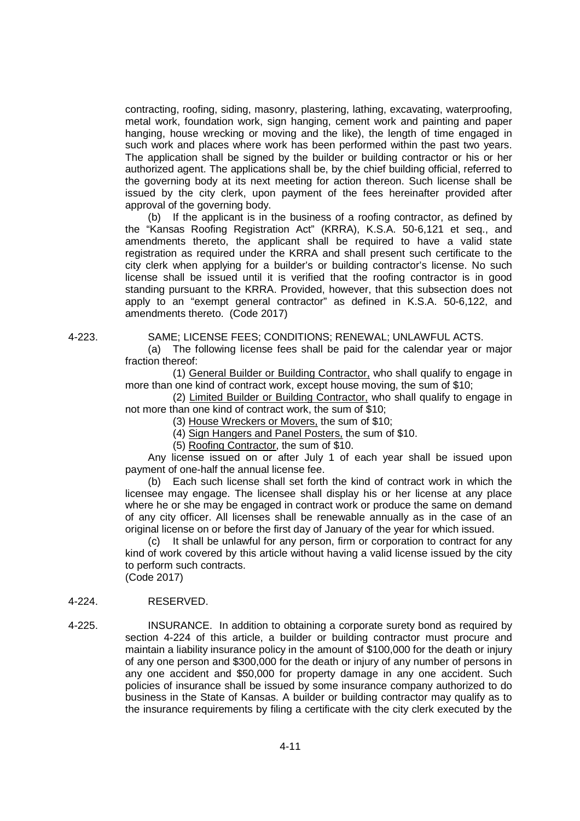contracting, roofing, siding, masonry, plastering, lathing, excavating, waterproofing, metal work, foundation work, sign hanging, cement work and painting and paper hanging, house wrecking or moving and the like), the length of time engaged in such work and places where work has been performed within the past two years. The application shall be signed by the builder or building contractor or his or her authorized agent. The applications shall be, by the chief building official, referred to the governing body at its next meeting for action thereon. Such license shall be issued by the city clerk, upon payment of the fees hereinafter provided after approval of the governing body.

(b) If the applicant is in the business of a roofing contractor, as defined by the "Kansas Roofing Registration Act" (KRRA), K.S.A. 50-6,121 et seq., and amendments thereto, the applicant shall be required to have a valid state registration as required under the KRRA and shall present such certificate to the city clerk when applying for a builder's or building contractor's license. No such license shall be issued until it is verified that the roofing contractor is in good standing pursuant to the KRRA. Provided, however, that this subsection does not apply to an "exempt general contractor" as defined in K.S.A. 50-6,122, and amendments thereto. (Code 2017)

4-223. SAME; LICENSE FEES; CONDITIONS; RENEWAL; UNLAWFUL ACTS.

(a) The following license fees shall be paid for the calendar year or major fraction thereof:

(1) General Builder or Building Contractor, who shall qualify to engage in more than one kind of contract work, except house moving, the sum of \$10;

(2) Limited Builder or Building Contractor, who shall qualify to engage in not more than one kind of contract work, the sum of \$10;

(3) House Wreckers or Movers, the sum of \$10;

(4) Sign Hangers and Panel Posters, the sum of \$10.

(5) Roofing Contractor, the sum of \$10.

Any license issued on or after July 1 of each year shall be issued upon payment of one-half the annual license fee.

(b) Each such license shall set forth the kind of contract work in which the licensee may engage. The licensee shall display his or her license at any place where he or she may be engaged in contract work or produce the same on demand of any city officer. All licenses shall be renewable annually as in the case of an original license on or before the first day of January of the year for which issued.

(c) It shall be unlawful for any person, firm or corporation to contract for any kind of work covered by this article without having a valid license issued by the city to perform such contracts.

(Code 2017)

# 4-224. RESERVED.

4-225. INSURANCE. In addition to obtaining a corporate surety bond as required by section 4-224 of this article, a builder or building contractor must procure and maintain a liability insurance policy in the amount of \$100,000 for the death or injury of any one person and \$300,000 for the death or injury of any number of persons in any one accident and \$50,000 for property damage in any one accident. Such policies of insurance shall be issued by some insurance company authorized to do business in the State of Kansas. A builder or building contractor may qualify as to the insurance requirements by filing a certificate with the city clerk executed by the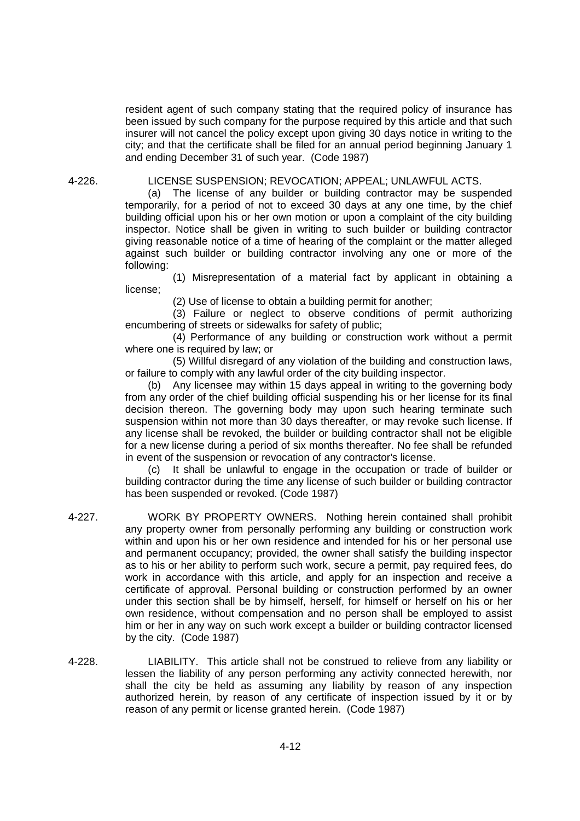resident agent of such company stating that the required policy of insurance has been issued by such company for the purpose required by this article and that such insurer will not cancel the policy except upon giving 30 days notice in writing to the city; and that the certificate shall be filed for an annual period beginning January 1 and ending December 31 of such year. (Code 1987)

#### 4-226. LICENSE SUSPENSION; REVOCATION; APPEAL; UNLAWFUL ACTS.

(a) The license of any builder or building contractor may be suspended temporarily, for a period of not to exceed 30 days at any one time, by the chief building official upon his or her own motion or upon a complaint of the city building inspector. Notice shall be given in writing to such builder or building contractor giving reasonable notice of a time of hearing of the complaint or the matter alleged against such builder or building contractor involving any one or more of the following:

(1) Misrepresentation of a material fact by applicant in obtaining a license;

(2) Use of license to obtain a building permit for another;

(3) Failure or neglect to observe conditions of permit authorizing encumbering of streets or sidewalks for safety of public;

(4) Performance of any building or construction work without a permit where one is required by law; or

(5) Willful disregard of any violation of the building and construction laws, or failure to comply with any lawful order of the city building inspector.

(b) Any licensee may within 15 days appeal in writing to the governing body from any order of the chief building official suspending his or her license for its final decision thereon. The governing body may upon such hearing terminate such suspension within not more than 30 days thereafter, or may revoke such license. If any license shall be revoked, the builder or building contractor shall not be eligible for a new license during a period of six months thereafter. No fee shall be refunded in event of the suspension or revocation of any contractor's license.

(c) It shall be unlawful to engage in the occupation or trade of builder or building contractor during the time any license of such builder or building contractor has been suspended or revoked. (Code 1987)

- 4-227. WORK BY PROPERTY OWNERS. Nothing herein contained shall prohibit any property owner from personally performing any building or construction work within and upon his or her own residence and intended for his or her personal use and permanent occupancy; provided, the owner shall satisfy the building inspector as to his or her ability to perform such work, secure a permit, pay required fees, do work in accordance with this article, and apply for an inspection and receive a certificate of approval. Personal building or construction performed by an owner under this section shall be by himself, herself, for himself or herself on his or her own residence, without compensation and no person shall be employed to assist him or her in any way on such work except a builder or building contractor licensed by the city. (Code 1987)
- 4-228. LIABILITY. This article shall not be construed to relieve from any liability or lessen the liability of any person performing any activity connected herewith, nor shall the city be held as assuming any liability by reason of any inspection authorized herein, by reason of any certificate of inspection issued by it or by reason of any permit or license granted herein. (Code 1987)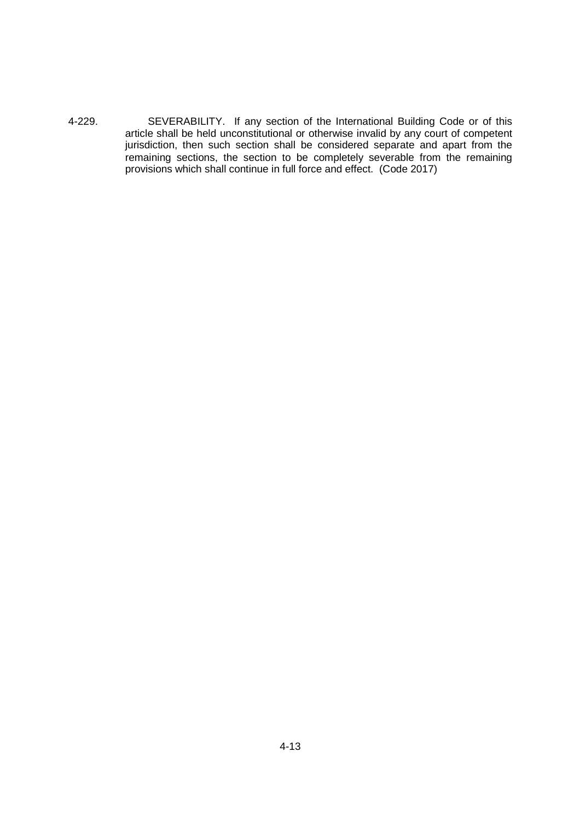4-229. SEVERABILITY. If any section of the International Building Code or of this article shall be held unconstitutional or otherwise invalid by any court of competent jurisdiction, then such section shall be considered separate and apart from the remaining sections, the section to be completely severable from the remaining provisions which shall continue in full force and effect. (Code 2017)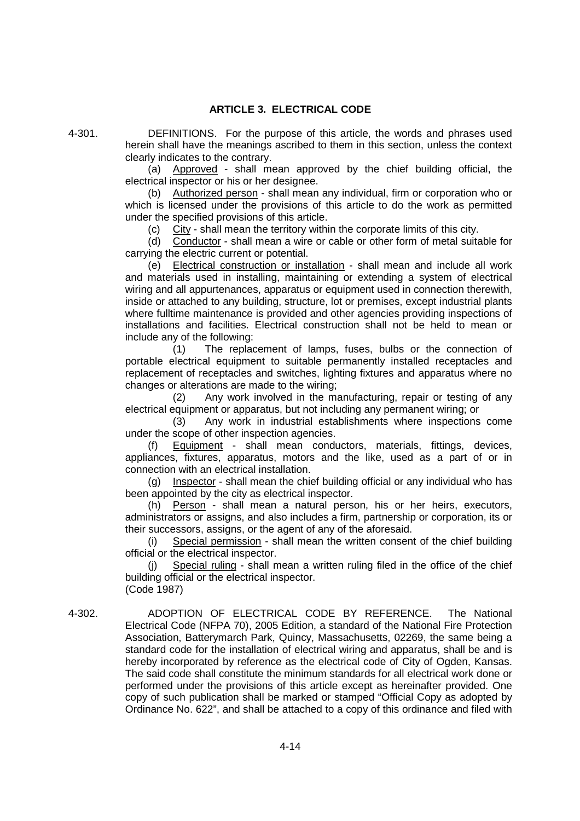# **ARTICLE 3. ELECTRICAL CODE**

4-301. DEFINITIONS. For the purpose of this article, the words and phrases used herein shall have the meanings ascribed to them in this section, unless the context clearly indicates to the contrary.

(a) Approved - shall mean approved by the chief building official, the electrical inspector or his or her designee.

(b) Authorized person - shall mean any individual, firm or corporation who or which is licensed under the provisions of this article to do the work as permitted under the specified provisions of this article.

(c) City - shall mean the territory within the corporate limits of this city.

(d) Conductor - shall mean a wire or cable or other form of metal suitable for carrying the electric current or potential.

(e) Electrical construction or installation - shall mean and include all work and materials used in installing, maintaining or extending a system of electrical wiring and all appurtenances, apparatus or equipment used in connection therewith, inside or attached to any building, structure, lot or premises, except industrial plants where fulltime maintenance is provided and other agencies providing inspections of installations and facilities. Electrical construction shall not be held to mean or include any of the following:

(1) The replacement of lamps, fuses, bulbs or the connection of portable electrical equipment to suitable permanently installed receptacles and replacement of receptacles and switches, lighting fixtures and apparatus where no changes or alterations are made to the wiring;

(2) Any work involved in the manufacturing, repair or testing of any electrical equipment or apparatus, but not including any permanent wiring; or

(3) Any work in industrial establishments where inspections come under the scope of other inspection agencies.

(f) Equipment - shall mean conductors, materials, fittings, devices, appliances, fixtures, apparatus, motors and the like, used as a part of or in connection with an electrical installation.

(g) Inspector - shall mean the chief building official or any individual who has been appointed by the city as electrical inspector.

(h) Person - shall mean a natural person, his or her heirs, executors, administrators or assigns, and also includes a firm, partnership or corporation, its or their successors, assigns, or the agent of any of the aforesaid.

(i) Special permission - shall mean the written consent of the chief building official or the electrical inspector.

(j) Special ruling - shall mean a written ruling filed in the office of the chief building official or the electrical inspector.

(Code 1987)

4-302. ADOPTION OF ELECTRICAL CODE BY REFERENCE. The National Electrical Code (NFPA 70), 2005 Edition, a standard of the National Fire Protection Association, Batterymarch Park, Quincy, Massachusetts, 02269, the same being a standard code for the installation of electrical wiring and apparatus, shall be and is hereby incorporated by reference as the electrical code of City of Ogden, Kansas. The said code shall constitute the minimum standards for all electrical work done or performed under the provisions of this article except as hereinafter provided. One copy of such publication shall be marked or stamped "Official Copy as adopted by Ordinance No. 622", and shall be attached to a copy of this ordinance and filed with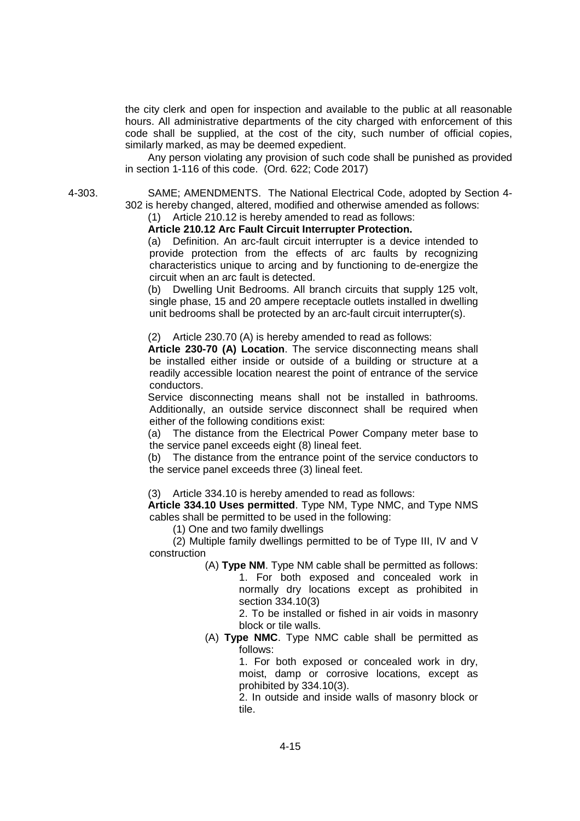the city clerk and open for inspection and available to the public at all reasonable hours. All administrative departments of the city charged with enforcement of this code shall be supplied, at the cost of the city, such number of official copies, similarly marked, as may be deemed expedient.

Any person violating any provision of such code shall be punished as provided in section 1-116 of this code. (Ord. 622; Code 2017)

4-303. SAME; AMENDMENTS. The National Electrical Code, adopted by Section 4- 302 is hereby changed, altered, modified and otherwise amended as follows:

# (1) Article 210.12 is hereby amended to read as follows:

# **Article 210.12 Arc Fault Circuit Interrupter Protection.**

(a) Definition. An arc-fault circuit interrupter is a device intended to provide protection from the effects of arc faults by recognizing characteristics unique to arcing and by functioning to de-energize the circuit when an arc fault is detected.

(b) Dwelling Unit Bedrooms. All branch circuits that supply 125 volt, single phase, 15 and 20 ampere receptacle outlets installed in dwelling unit bedrooms shall be protected by an arc-fault circuit interrupter(s).

(2) Article 230.70 (A) is hereby amended to read as follows:

**Article 230-70 (A) Location**. The service disconnecting means shall be installed either inside or outside of a building or structure at a readily accessible location nearest the point of entrance of the service conductors.

Service disconnecting means shall not be installed in bathrooms. Additionally, an outside service disconnect shall be required when either of the following conditions exist:

(a) The distance from the Electrical Power Company meter base to the service panel exceeds eight (8) lineal feet.

(b) The distance from the entrance point of the service conductors to the service panel exceeds three (3) lineal feet.

(3) Article 334.10 is hereby amended to read as follows:

**Article 334.10 Uses permitted**. Type NM, Type NMC, and Type NMS cables shall be permitted to be used in the following:

(1) One and two family dwellings

(2) Multiple family dwellings permitted to be of Type III, IV and V construction

> (A) **Type NM**. Type NM cable shall be permitted as follows: 1. For both exposed and concealed work in normally dry locations except as prohibited in section 334.10(3)

2. To be installed or fished in air voids in masonry block or tile walls.

(A) **Type NMC**. Type NMC cable shall be permitted as follows:

1. For both exposed or concealed work in dry, moist, damp or corrosive locations, except as prohibited by 334.10(3).

2. In outside and inside walls of masonry block or tile.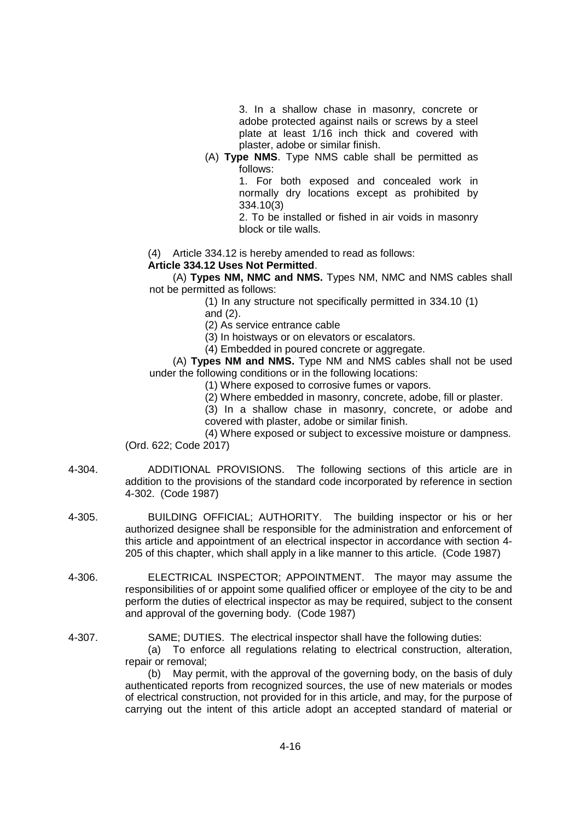3. In a shallow chase in masonry, concrete or adobe protected against nails or screws by a steel plate at least 1/16 inch thick and covered with plaster, adobe or similar finish.

(A) **Type NMS**. Type NMS cable shall be permitted as follows:

1. For both exposed and concealed work in normally dry locations except as prohibited by 334.10(3)

2. To be installed or fished in air voids in masonry block or tile walls.

(4) Article 334.12 is hereby amended to read as follows:

#### **Article 334.12 Uses Not Permitted**.

(A) **Types NM, NMC and NMS.** Types NM, NMC and NMS cables shall not be permitted as follows:

(1) In any structure not specifically permitted in 334.10 (1)

and (2).

4-302. (Code 1987)

(2) As service entrance cable

(3) In hoistways or on elevators or escalators.

(4) Embedded in poured concrete or aggregate.

(A) **Types NM and NMS.** Type NM and NMS cables shall not be used under the following conditions or in the following locations:

(1) Where exposed to corrosive fumes or vapors.

(2) Where embedded in masonry, concrete, adobe, fill or plaster.

(3) In a shallow chase in masonry, concrete, or adobe and covered with plaster, adobe or similar finish.

(4) Where exposed or subject to excessive moisture or dampness. (Ord. 622; Code 2017)

- 4-304. ADDITIONAL PROVISIONS. The following sections of this article are in addition to the provisions of the standard code incorporated by reference in section
	- 4-305. BUILDING OFFICIAL; AUTHORITY. The building inspector or his or her authorized designee shall be responsible for the administration and enforcement of this article and appointment of an electrical inspector in accordance with section 4- 205 of this chapter, which shall apply in a like manner to this article. (Code 1987)
	- 4-306. ELECTRICAL INSPECTOR; APPOINTMENT. The mayor may assume the responsibilities of or appoint some qualified officer or employee of the city to be and perform the duties of electrical inspector as may be required, subject to the consent and approval of the governing body. (Code 1987)
	- 4-307. SAME; DUTIES. The electrical inspector shall have the following duties:

(a) To enforce all regulations relating to electrical construction, alteration, repair or removal;

(b) May permit, with the approval of the governing body, on the basis of duly authenticated reports from recognized sources, the use of new materials or modes of electrical construction, not provided for in this article, and may, for the purpose of carrying out the intent of this article adopt an accepted standard of material or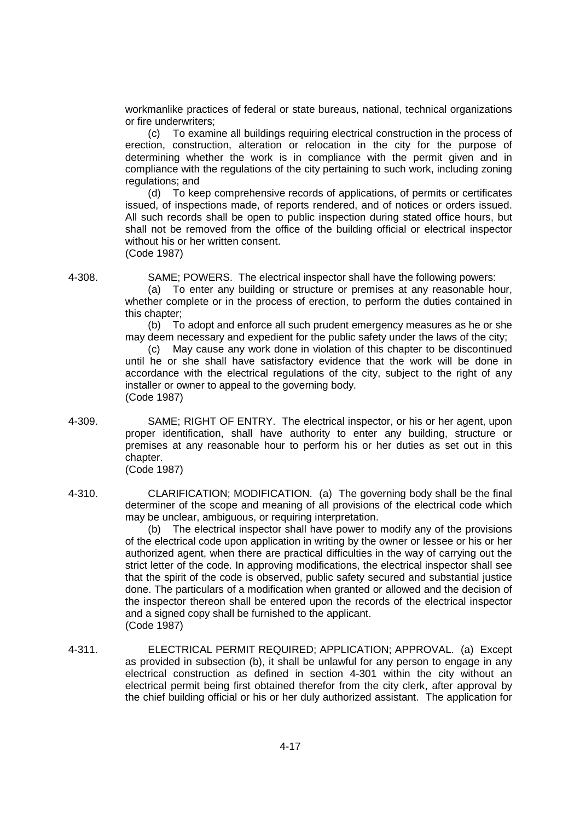workmanlike practices of federal or state bureaus, national, technical organizations or fire underwriters;

(c) To examine all buildings requiring electrical construction in the process of erection, construction, alteration or relocation in the city for the purpose of determining whether the work is in compliance with the permit given and in compliance with the regulations of the city pertaining to such work, including zoning regulations; and

(d) To keep comprehensive records of applications, of permits or certificates issued, of inspections made, of reports rendered, and of notices or orders issued. All such records shall be open to public inspection during stated office hours, but shall not be removed from the office of the building official or electrical inspector without his or her written consent. (Code 1987)

4-308. SAME; POWERS. The electrical inspector shall have the following powers:

(a) To enter any building or structure or premises at any reasonable hour, whether complete or in the process of erection, to perform the duties contained in this chapter;

(b) To adopt and enforce all such prudent emergency measures as he or she may deem necessary and expedient for the public safety under the laws of the city;

(c) May cause any work done in violation of this chapter to be discontinued until he or she shall have satisfactory evidence that the work will be done in accordance with the electrical regulations of the city, subject to the right of any installer or owner to appeal to the governing body. (Code 1987)

4-309. SAME; RIGHT OF ENTRY. The electrical inspector, or his or her agent, upon proper identification, shall have authority to enter any building, structure or premises at any reasonable hour to perform his or her duties as set out in this chapter. (Code 1987)

4-310. CLARIFICATION; MODIFICATION. (a) The governing body shall be the final determiner of the scope and meaning of all provisions of the electrical code which may be unclear, ambiguous, or requiring interpretation.

> (b) The electrical inspector shall have power to modify any of the provisions of the electrical code upon application in writing by the owner or lessee or his or her authorized agent, when there are practical difficulties in the way of carrying out the strict letter of the code. In approving modifications, the electrical inspector shall see that the spirit of the code is observed, public safety secured and substantial justice done. The particulars of a modification when granted or allowed and the decision of the inspector thereon shall be entered upon the records of the electrical inspector and a signed copy shall be furnished to the applicant. (Code 1987)

4-311. ELECTRICAL PERMIT REQUIRED; APPLICATION; APPROVAL. (a) Except as provided in subsection (b), it shall be unlawful for any person to engage in any electrical construction as defined in section 4-301 within the city without an electrical permit being first obtained therefor from the city clerk, after approval by the chief building official or his or her duly authorized assistant. The application for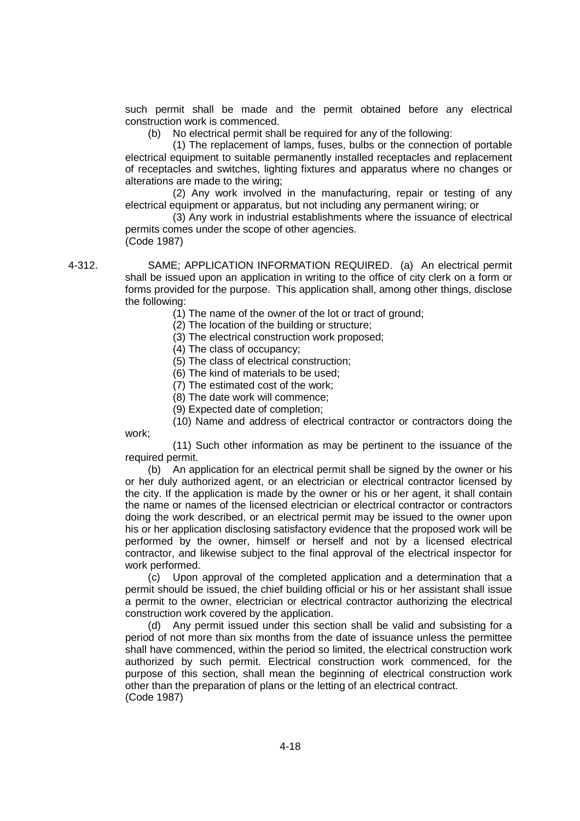such permit shall be made and the permit obtained before any electrical construction work is commenced.

(b) No electrical permit shall be required for any of the following:

(1) The replacement of lamps, fuses, bulbs or the connection of portable electrical equipment to suitable permanently installed receptacles and replacement of receptacles and switches, lighting fixtures and apparatus where no changes or alterations are made to the wiring;

(2) Any work involved in the manufacturing, repair or testing of any electrical equipment or apparatus, but not including any permanent wiring; or

(3) Any work in industrial establishments where the issuance of electrical permits comes under the scope of other agencies. (Code 1987)

4-312. SAME; APPLICATION INFORMATION REQUIRED. (a) An electrical permit shall be issued upon an application in writing to the office of city clerk on a form or forms provided for the purpose. This application shall, among other things, disclose the following:

(1) The name of the owner of the lot or tract of ground;

(2) The location of the building or structure;

(3) The electrical construction work proposed;

(4) The class of occupancy;

(5) The class of electrical construction;

(6) The kind of materials to be used;

(7) The estimated cost of the work;

(8) The date work will commence;

(9) Expected date of completion;

(10) Name and address of electrical contractor or contractors doing the work;

(11) Such other information as may be pertinent to the issuance of the required permit.

(b) An application for an electrical permit shall be signed by the owner or his or her duly authorized agent, or an electrician or electrical contractor licensed by the city. If the application is made by the owner or his or her agent, it shall contain the name or names of the licensed electrician or electrical contractor or contractors doing the work described, or an electrical permit may be issued to the owner upon his or her application disclosing satisfactory evidence that the proposed work will be performed by the owner, himself or herself and not by a licensed electrical contractor, and likewise subject to the final approval of the electrical inspector for work performed.

(c) Upon approval of the completed application and a determination that a permit should be issued, the chief building official or his or her assistant shall issue a permit to the owner, electrician or electrical contractor authorizing the electrical construction work covered by the application.

(d) Any permit issued under this section shall be valid and subsisting for a period of not more than six months from the date of issuance unless the permittee shall have commenced, within the period so limited, the electrical construction work authorized by such permit. Electrical construction work commenced, for the purpose of this section, shall mean the beginning of electrical construction work other than the preparation of plans or the letting of an electrical contract. (Code 1987)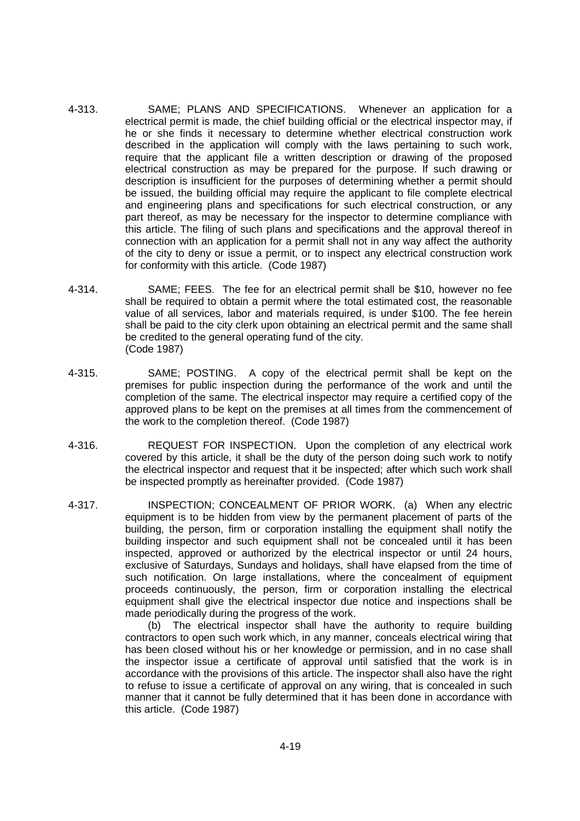- 4-313. SAME; PLANS AND SPECIFICATIONS. Whenever an application for a electrical permit is made, the chief building official or the electrical inspector may, if he or she finds it necessary to determine whether electrical construction work described in the application will comply with the laws pertaining to such work, require that the applicant file a written description or drawing of the proposed electrical construction as may be prepared for the purpose. If such drawing or description is insufficient for the purposes of determining whether a permit should be issued, the building official may require the applicant to file complete electrical and engineering plans and specifications for such electrical construction, or any part thereof, as may be necessary for the inspector to determine compliance with this article. The filing of such plans and specifications and the approval thereof in connection with an application for a permit shall not in any way affect the authority of the city to deny or issue a permit, or to inspect any electrical construction work for conformity with this article. (Code 1987)
- 4-314. SAME; FEES. The fee for an electrical permit shall be \$10, however no fee shall be required to obtain a permit where the total estimated cost, the reasonable value of all services, labor and materials required, is under \$100. The fee herein shall be paid to the city clerk upon obtaining an electrical permit and the same shall be credited to the general operating fund of the city. (Code 1987)
- 4-315. SAME; POSTING. A copy of the electrical permit shall be kept on the premises for public inspection during the performance of the work and until the completion of the same. The electrical inspector may require a certified copy of the approved plans to be kept on the premises at all times from the commencement of the work to the completion thereof. (Code 1987)
- 4-316. REQUEST FOR INSPECTION. Upon the completion of any electrical work covered by this article, it shall be the duty of the person doing such work to notify the electrical inspector and request that it be inspected; after which such work shall be inspected promptly as hereinafter provided. (Code 1987)
- 4-317. INSPECTION; CONCEALMENT OF PRIOR WORK. (a) When any electric equipment is to be hidden from view by the permanent placement of parts of the building, the person, firm or corporation installing the equipment shall notify the building inspector and such equipment shall not be concealed until it has been inspected, approved or authorized by the electrical inspector or until 24 hours, exclusive of Saturdays, Sundays and holidays, shall have elapsed from the time of such notification. On large installations, where the concealment of equipment proceeds continuously, the person, firm or corporation installing the electrical equipment shall give the electrical inspector due notice and inspections shall be made periodically during the progress of the work.

(b) The electrical inspector shall have the authority to require building contractors to open such work which, in any manner, conceals electrical wiring that has been closed without his or her knowledge or permission, and in no case shall the inspector issue a certificate of approval until satisfied that the work is in accordance with the provisions of this article. The inspector shall also have the right to refuse to issue a certificate of approval on any wiring, that is concealed in such manner that it cannot be fully determined that it has been done in accordance with this article. (Code 1987)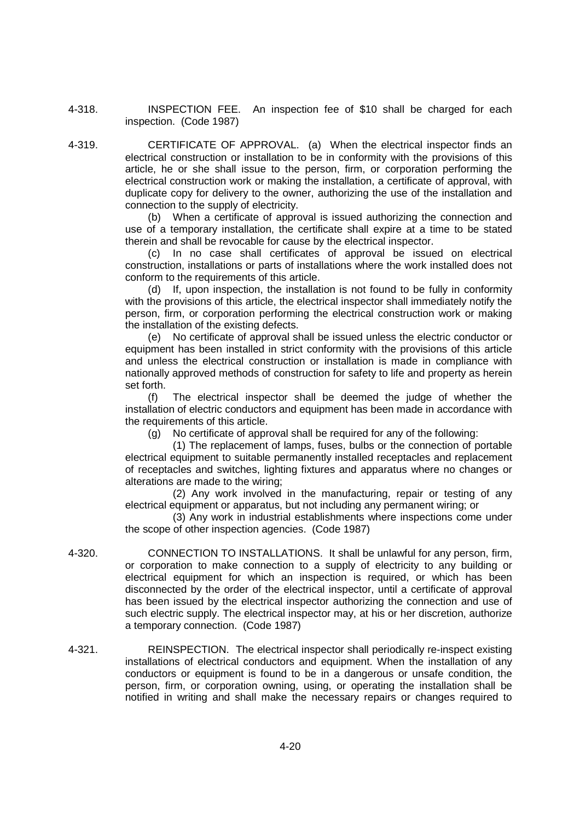4-318. INSPECTION FEE. An inspection fee of \$10 shall be charged for each inspection. (Code 1987)

4-319. CERTIFICATE OF APPROVAL. (a) When the electrical inspector finds an electrical construction or installation to be in conformity with the provisions of this article, he or she shall issue to the person, firm, or corporation performing the electrical construction work or making the installation, a certificate of approval, with duplicate copy for delivery to the owner, authorizing the use of the installation and connection to the supply of electricity.

(b) When a certificate of approval is issued authorizing the connection and use of a temporary installation, the certificate shall expire at a time to be stated therein and shall be revocable for cause by the electrical inspector.

(c) In no case shall certificates of approval be issued on electrical construction, installations or parts of installations where the work installed does not conform to the requirements of this article.

(d) If, upon inspection, the installation is not found to be fully in conformity with the provisions of this article, the electrical inspector shall immediately notify the person, firm, or corporation performing the electrical construction work or making the installation of the existing defects.

(e) No certificate of approval shall be issued unless the electric conductor or equipment has been installed in strict conformity with the provisions of this article and unless the electrical construction or installation is made in compliance with nationally approved methods of construction for safety to life and property as herein set forth.

(f) The electrical inspector shall be deemed the judge of whether the installation of electric conductors and equipment has been made in accordance with the requirements of this article.

(g) No certificate of approval shall be required for any of the following:

(1) The replacement of lamps, fuses, bulbs or the connection of portable electrical equipment to suitable permanently installed receptacles and replacement of receptacles and switches, lighting fixtures and apparatus where no changes or alterations are made to the wiring;

(2) Any work involved in the manufacturing, repair or testing of any electrical equipment or apparatus, but not including any permanent wiring; or

(3) Any work in industrial establishments where inspections come under the scope of other inspection agencies. (Code 1987)

- 4-320. CONNECTION TO INSTALLATIONS. It shall be unlawful for any person, firm, or corporation to make connection to a supply of electricity to any building or electrical equipment for which an inspection is required, or which has been disconnected by the order of the electrical inspector, until a certificate of approval has been issued by the electrical inspector authorizing the connection and use of such electric supply. The electrical inspector may, at his or her discretion, authorize a temporary connection. (Code 1987)
- 4-321. REINSPECTION. The electrical inspector shall periodically re-inspect existing installations of electrical conductors and equipment. When the installation of any conductors or equipment is found to be in a dangerous or unsafe condition, the person, firm, or corporation owning, using, or operating the installation shall be notified in writing and shall make the necessary repairs or changes required to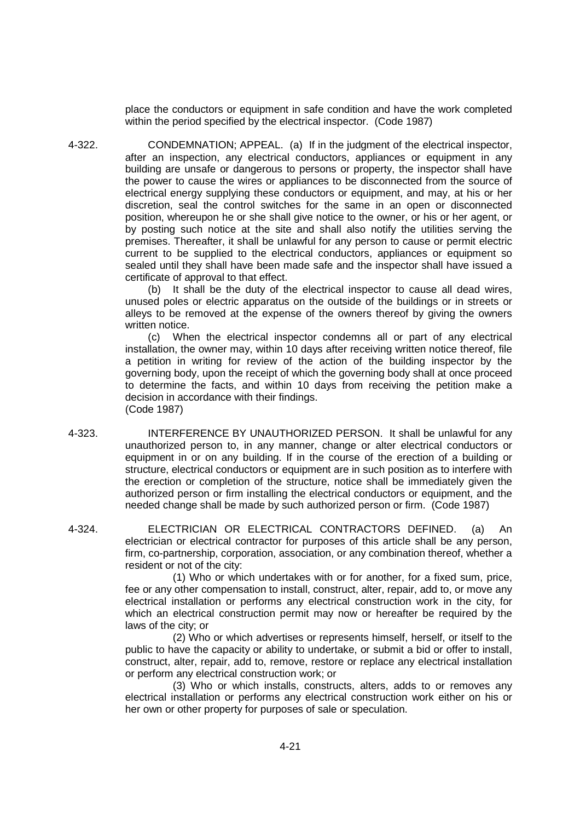place the conductors or equipment in safe condition and have the work completed within the period specified by the electrical inspector. (Code 1987)

4-322. CONDEMNATION; APPEAL. (a) If in the judgment of the electrical inspector, after an inspection, any electrical conductors, appliances or equipment in any building are unsafe or dangerous to persons or property, the inspector shall have the power to cause the wires or appliances to be disconnected from the source of electrical energy supplying these conductors or equipment, and may, at his or her discretion, seal the control switches for the same in an open or disconnected position, whereupon he or she shall give notice to the owner, or his or her agent, or by posting such notice at the site and shall also notify the utilities serving the premises. Thereafter, it shall be unlawful for any person to cause or permit electric current to be supplied to the electrical conductors, appliances or equipment so sealed until they shall have been made safe and the inspector shall have issued a certificate of approval to that effect.

> (b) It shall be the duty of the electrical inspector to cause all dead wires, unused poles or electric apparatus on the outside of the buildings or in streets or alleys to be removed at the expense of the owners thereof by giving the owners written notice.

> (c) When the electrical inspector condemns all or part of any electrical installation, the owner may, within 10 days after receiving written notice thereof, file a petition in writing for review of the action of the building inspector by the governing body, upon the receipt of which the governing body shall at once proceed to determine the facts, and within 10 days from receiving the petition make a decision in accordance with their findings. (Code 1987)

- 4-323. INTERFERENCE BY UNAUTHORIZED PERSON. It shall be unlawful for any unauthorized person to, in any manner, change or alter electrical conductors or equipment in or on any building. If in the course of the erection of a building or structure, electrical conductors or equipment are in such position as to interfere with the erection or completion of the structure, notice shall be immediately given the authorized person or firm installing the electrical conductors or equipment, and the needed change shall be made by such authorized person or firm. (Code 1987)
- 4-324. ELECTRICIAN OR ELECTRICAL CONTRACTORS DEFINED. (a) An electrician or electrical contractor for purposes of this article shall be any person, firm, co-partnership, corporation, association, or any combination thereof, whether a resident or not of the city:

(1) Who or which undertakes with or for another, for a fixed sum, price, fee or any other compensation to install, construct, alter, repair, add to, or move any electrical installation or performs any electrical construction work in the city, for which an electrical construction permit may now or hereafter be required by the laws of the city; or

(2) Who or which advertises or represents himself, herself, or itself to the public to have the capacity or ability to undertake, or submit a bid or offer to install, construct, alter, repair, add to, remove, restore or replace any electrical installation or perform any electrical construction work; or

(3) Who or which installs, constructs, alters, adds to or removes any electrical installation or performs any electrical construction work either on his or her own or other property for purposes of sale or speculation.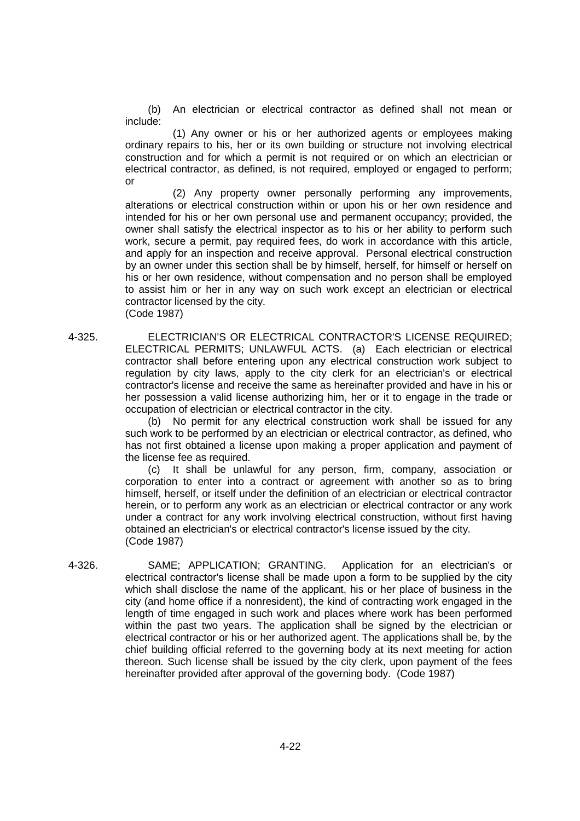(b) An electrician or electrical contractor as defined shall not mean or include:

(1) Any owner or his or her authorized agents or employees making ordinary repairs to his, her or its own building or structure not involving electrical construction and for which a permit is not required or on which an electrician or electrical contractor, as defined, is not required, employed or engaged to perform; or

(2) Any property owner personally performing any improvements, alterations or electrical construction within or upon his or her own residence and intended for his or her own personal use and permanent occupancy; provided, the owner shall satisfy the electrical inspector as to his or her ability to perform such work, secure a permit, pay required fees, do work in accordance with this article, and apply for an inspection and receive approval. Personal electrical construction by an owner under this section shall be by himself, herself, for himself or herself on his or her own residence, without compensation and no person shall be employed to assist him or her in any way on such work except an electrician or electrical contractor licensed by the city.

(Code 1987)

4-325. ELECTRICIAN'S OR ELECTRICAL CONTRACTOR'S LICENSE REQUIRED; ELECTRICAL PERMITS; UNLAWFUL ACTS. (a) Each electrician or electrical contractor shall before entering upon any electrical construction work subject to regulation by city laws, apply to the city clerk for an electrician's or electrical contractor's license and receive the same as hereinafter provided and have in his or her possession a valid license authorizing him, her or it to engage in the trade or occupation of electrician or electrical contractor in the city.

> (b) No permit for any electrical construction work shall be issued for any such work to be performed by an electrician or electrical contractor, as defined, who has not first obtained a license upon making a proper application and payment of the license fee as required.

> (c) It shall be unlawful for any person, firm, company, association or corporation to enter into a contract or agreement with another so as to bring himself, herself, or itself under the definition of an electrician or electrical contractor herein, or to perform any work as an electrician or electrical contractor or any work under a contract for any work involving electrical construction, without first having obtained an electrician's or electrical contractor's license issued by the city. (Code 1987)

4-326. SAME; APPLICATION; GRANTING. Application for an electrician's or electrical contractor's license shall be made upon a form to be supplied by the city which shall disclose the name of the applicant, his or her place of business in the city (and home office if a nonresident), the kind of contracting work engaged in the length of time engaged in such work and places where work has been performed within the past two years. The application shall be signed by the electrician or electrical contractor or his or her authorized agent. The applications shall be, by the chief building official referred to the governing body at its next meeting for action thereon. Such license shall be issued by the city clerk, upon payment of the fees hereinafter provided after approval of the governing body. (Code 1987)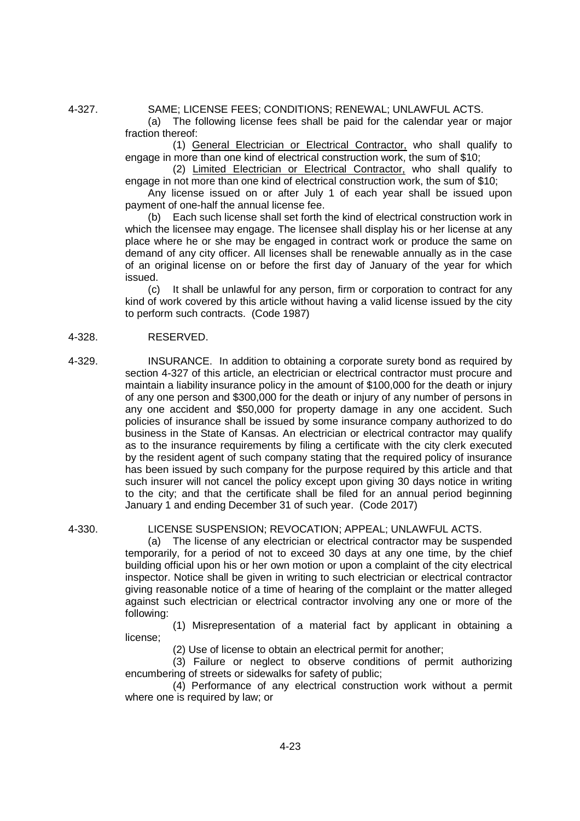4-327. SAME; LICENSE FEES; CONDITIONS; RENEWAL; UNLAWFUL ACTS.

(a) The following license fees shall be paid for the calendar year or major fraction thereof:

(1) General Electrician or Electrical Contractor, who shall qualify to engage in more than one kind of electrical construction work, the sum of \$10;

(2) Limited Electrician or Electrical Contractor, who shall qualify to engage in not more than one kind of electrical construction work, the sum of \$10;

Any license issued on or after July 1 of each year shall be issued upon payment of one-half the annual license fee.

(b) Each such license shall set forth the kind of electrical construction work in which the licensee may engage. The licensee shall display his or her license at any place where he or she may be engaged in contract work or produce the same on demand of any city officer. All licenses shall be renewable annually as in the case of an original license on or before the first day of January of the year for which issued.

(c) It shall be unlawful for any person, firm or corporation to contract for any kind of work covered by this article without having a valid license issued by the city to perform such contracts. (Code 1987)

## 4-328. RESERVED.

4-329. INSURANCE. In addition to obtaining a corporate surety bond as required by section 4-327 of this article, an electrician or electrical contractor must procure and maintain a liability insurance policy in the amount of \$100,000 for the death or injury of any one person and \$300,000 for the death or injury of any number of persons in any one accident and \$50,000 for property damage in any one accident. Such policies of insurance shall be issued by some insurance company authorized to do business in the State of Kansas. An electrician or electrical contractor may qualify as to the insurance requirements by filing a certificate with the city clerk executed by the resident agent of such company stating that the required policy of insurance has been issued by such company for the purpose required by this article and that such insurer will not cancel the policy except upon giving 30 days notice in writing to the city; and that the certificate shall be filed for an annual period beginning January 1 and ending December 31 of such year. (Code 2017)

#### 4-330. LICENSE SUSPENSION; REVOCATION; APPEAL; UNLAWFUL ACTS.

(a) The license of any electrician or electrical contractor may be suspended temporarily, for a period of not to exceed 30 days at any one time, by the chief building official upon his or her own motion or upon a complaint of the city electrical inspector. Notice shall be given in writing to such electrician or electrical contractor giving reasonable notice of a time of hearing of the complaint or the matter alleged against such electrician or electrical contractor involving any one or more of the following:

(1) Misrepresentation of a material fact by applicant in obtaining a license;

(2) Use of license to obtain an electrical permit for another;

(3) Failure or neglect to observe conditions of permit authorizing encumbering of streets or sidewalks for safety of public;

(4) Performance of any electrical construction work without a permit where one is required by law; or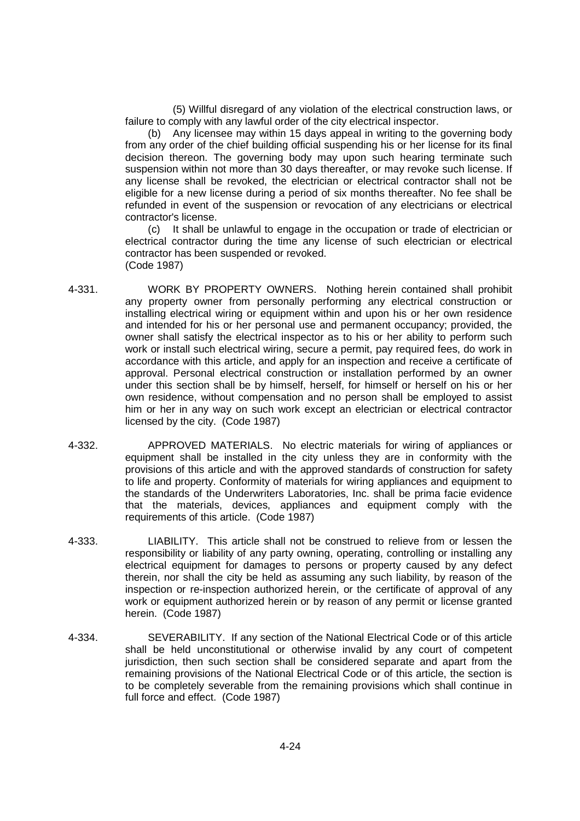(5) Willful disregard of any violation of the electrical construction laws, or failure to comply with any lawful order of the city electrical inspector.

(b) Any licensee may within 15 days appeal in writing to the governing body from any order of the chief building official suspending his or her license for its final decision thereon. The governing body may upon such hearing terminate such suspension within not more than 30 days thereafter, or may revoke such license. If any license shall be revoked, the electrician or electrical contractor shall not be eligible for a new license during a period of six months thereafter. No fee shall be refunded in event of the suspension or revocation of any electricians or electrical contractor's license.

(c) It shall be unlawful to engage in the occupation or trade of electrician or electrical contractor during the time any license of such electrician or electrical contractor has been suspended or revoked. (Code 1987)

- 4-331. WORK BY PROPERTY OWNERS. Nothing herein contained shall prohibit any property owner from personally performing any electrical construction or installing electrical wiring or equipment within and upon his or her own residence and intended for his or her personal use and permanent occupancy; provided, the owner shall satisfy the electrical inspector as to his or her ability to perform such work or install such electrical wiring, secure a permit, pay required fees, do work in accordance with this article, and apply for an inspection and receive a certificate of approval. Personal electrical construction or installation performed by an owner under this section shall be by himself, herself, for himself or herself on his or her own residence, without compensation and no person shall be employed to assist him or her in any way on such work except an electrician or electrical contractor licensed by the city. (Code 1987)
- 4-332. APPROVED MATERIALS. No electric materials for wiring of appliances or equipment shall be installed in the city unless they are in conformity with the provisions of this article and with the approved standards of construction for safety to life and property. Conformity of materials for wiring appliances and equipment to the standards of the Underwriters Laboratories, Inc. shall be prima facie evidence that the materials, devices, appliances and equipment comply with the requirements of this article. (Code 1987)
- 4-333. LIABILITY. This article shall not be construed to relieve from or lessen the responsibility or liability of any party owning, operating, controlling or installing any electrical equipment for damages to persons or property caused by any defect therein, nor shall the city be held as assuming any such liability, by reason of the inspection or re-inspection authorized herein, or the certificate of approval of any work or equipment authorized herein or by reason of any permit or license granted herein. (Code 1987)
- 4-334. SEVERABILITY. If any section of the National Electrical Code or of this article shall be held unconstitutional or otherwise invalid by any court of competent jurisdiction, then such section shall be considered separate and apart from the remaining provisions of the National Electrical Code or of this article, the section is to be completely severable from the remaining provisions which shall continue in full force and effect. (Code 1987)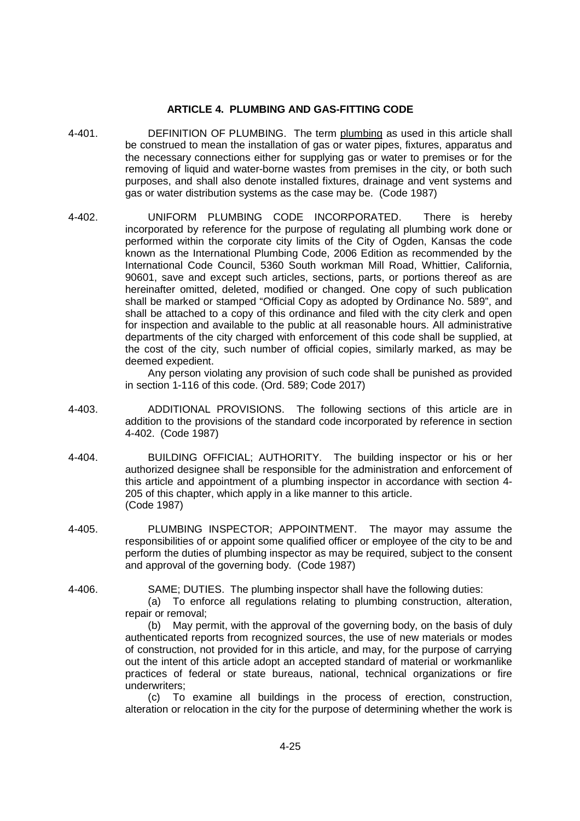## **ARTICLE 4. PLUMBING AND GAS-FITTING CODE**

- 4-401. DEFINITION OF PLUMBING. The term plumbing as used in this article shall be construed to mean the installation of gas or water pipes, fixtures, apparatus and the necessary connections either for supplying gas or water to premises or for the removing of liquid and water-borne wastes from premises in the city, or both such purposes, and shall also denote installed fixtures, drainage and vent systems and gas or water distribution systems as the case may be. (Code 1987)
- 4-402. UNIFORM PLUMBING CODE INCORPORATED. There is hereby incorporated by reference for the purpose of regulating all plumbing work done or performed within the corporate city limits of the City of Ogden, Kansas the code known as the International Plumbing Code, 2006 Edition as recommended by the International Code Council, 5360 South workman Mill Road, Whittier, California, 90601, save and except such articles, sections, parts, or portions thereof as are hereinafter omitted, deleted, modified or changed. One copy of such publication shall be marked or stamped "Official Copy as adopted by Ordinance No. 589", and shall be attached to a copy of this ordinance and filed with the city clerk and open for inspection and available to the public at all reasonable hours. All administrative departments of the city charged with enforcement of this code shall be supplied, at the cost of the city, such number of official copies, similarly marked, as may be deemed expedient.

Any person violating any provision of such code shall be punished as provided in section 1-116 of this code. (Ord. 589; Code 2017)

- 4-403. ADDITIONAL PROVISIONS. The following sections of this article are in addition to the provisions of the standard code incorporated by reference in section 4-402. (Code 1987)
- 4-404. BUILDING OFFICIAL; AUTHORITY. The building inspector or his or her authorized designee shall be responsible for the administration and enforcement of this article and appointment of a plumbing inspector in accordance with section 4- 205 of this chapter, which apply in a like manner to this article. (Code 1987)
- 4-405. PLUMBING INSPECTOR; APPOINTMENT. The mayor may assume the responsibilities of or appoint some qualified officer or employee of the city to be and perform the duties of plumbing inspector as may be required, subject to the consent and approval of the governing body. (Code 1987)
- 

4-406. SAME; DUTIES. The plumbing inspector shall have the following duties:

(a) To enforce all regulations relating to plumbing construction, alteration, repair or removal;

(b) May permit, with the approval of the governing body, on the basis of duly authenticated reports from recognized sources, the use of new materials or modes of construction, not provided for in this article, and may, for the purpose of carrying out the intent of this article adopt an accepted standard of material or workmanlike practices of federal or state bureaus, national, technical organizations or fire underwriters;

(c) To examine all buildings in the process of erection, construction, alteration or relocation in the city for the purpose of determining whether the work is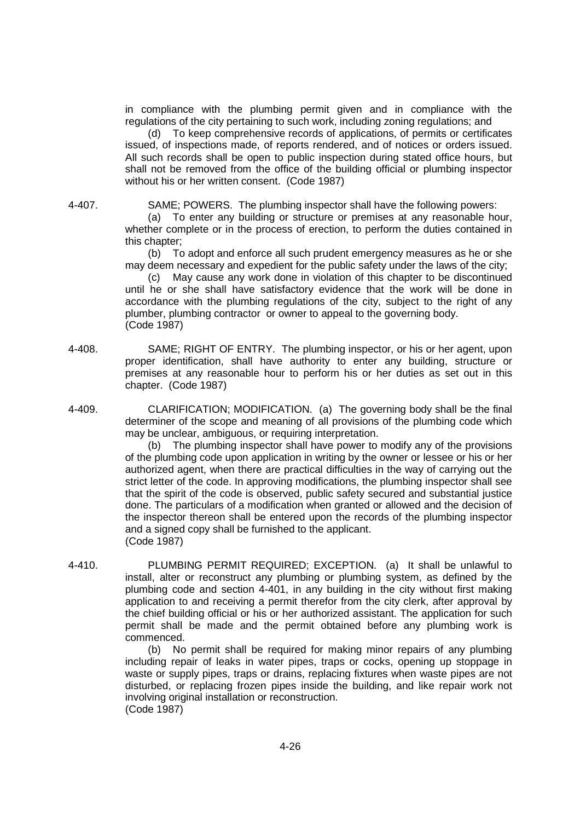in compliance with the plumbing permit given and in compliance with the regulations of the city pertaining to such work, including zoning regulations; and

(d) To keep comprehensive records of applications, of permits or certificates issued, of inspections made, of reports rendered, and of notices or orders issued. All such records shall be open to public inspection during stated office hours, but shall not be removed from the office of the building official or plumbing inspector without his or her written consent. (Code 1987)

4-407. SAME; POWERS. The plumbing inspector shall have the following powers:

(a) To enter any building or structure or premises at any reasonable hour, whether complete or in the process of erection, to perform the duties contained in this chapter;

(b) To adopt and enforce all such prudent emergency measures as he or she may deem necessary and expedient for the public safety under the laws of the city;

(c) May cause any work done in violation of this chapter to be discontinued until he or she shall have satisfactory evidence that the work will be done in accordance with the plumbing regulations of the city, subject to the right of any plumber, plumbing contractor or owner to appeal to the governing body. (Code 1987)

- 4-408. SAME; RIGHT OF ENTRY. The plumbing inspector, or his or her agent, upon proper identification, shall have authority to enter any building, structure or premises at any reasonable hour to perform his or her duties as set out in this chapter. (Code 1987)
- 

4-409. CLARIFICATION; MODIFICATION. (a) The governing body shall be the final determiner of the scope and meaning of all provisions of the plumbing code which may be unclear, ambiguous, or requiring interpretation.

> (b) The plumbing inspector shall have power to modify any of the provisions of the plumbing code upon application in writing by the owner or lessee or his or her authorized agent, when there are practical difficulties in the way of carrying out the strict letter of the code. In approving modifications, the plumbing inspector shall see that the spirit of the code is observed, public safety secured and substantial justice done. The particulars of a modification when granted or allowed and the decision of the inspector thereon shall be entered upon the records of the plumbing inspector and a signed copy shall be furnished to the applicant. (Code 1987)

4-410. PLUMBING PERMIT REQUIRED; EXCEPTION. (a) It shall be unlawful to install, alter or reconstruct any plumbing or plumbing system, as defined by the plumbing code and section 4-401, in any building in the city without first making application to and receiving a permit therefor from the city clerk, after approval by the chief building official or his or her authorized assistant. The application for such permit shall be made and the permit obtained before any plumbing work is commenced.

> (b) No permit shall be required for making minor repairs of any plumbing including repair of leaks in water pipes, traps or cocks, opening up stoppage in waste or supply pipes, traps or drains, replacing fixtures when waste pipes are not disturbed, or replacing frozen pipes inside the building, and like repair work not involving original installation or reconstruction. (Code 1987)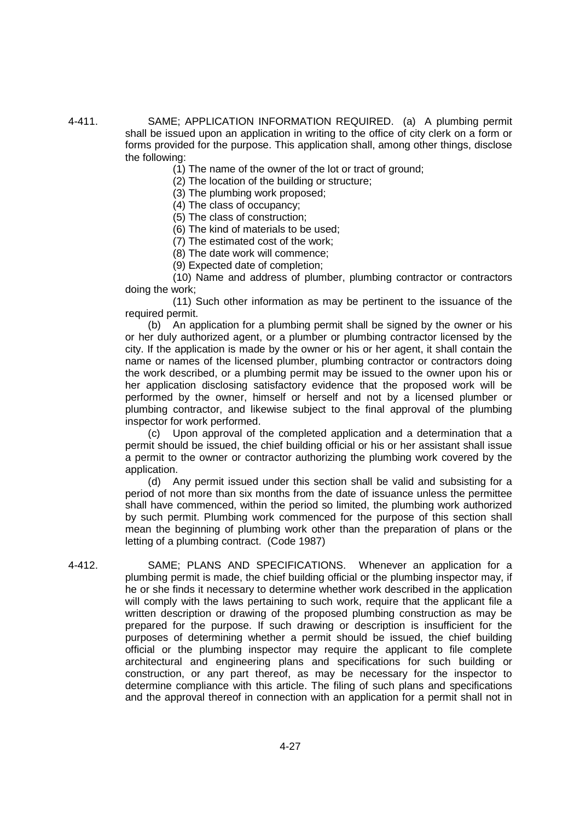4-411. SAME; APPLICATION INFORMATION REQUIRED. (a) A plumbing permit shall be issued upon an application in writing to the office of city clerk on a form or forms provided for the purpose. This application shall, among other things, disclose the following:

(1) The name of the owner of the lot or tract of ground;

(2) The location of the building or structure;

(3) The plumbing work proposed;

(4) The class of occupancy;

(5) The class of construction;

(6) The kind of materials to be used;

(7) The estimated cost of the work;

(8) The date work will commence;

(9) Expected date of completion;

(10) Name and address of plumber, plumbing contractor or contractors doing the work;

(11) Such other information as may be pertinent to the issuance of the required permit.

(b) An application for a plumbing permit shall be signed by the owner or his or her duly authorized agent, or a plumber or plumbing contractor licensed by the city. If the application is made by the owner or his or her agent, it shall contain the name or names of the licensed plumber, plumbing contractor or contractors doing the work described, or a plumbing permit may be issued to the owner upon his or her application disclosing satisfactory evidence that the proposed work will be performed by the owner, himself or herself and not by a licensed plumber or plumbing contractor, and likewise subject to the final approval of the plumbing inspector for work performed.

(c) Upon approval of the completed application and a determination that a permit should be issued, the chief building official or his or her assistant shall issue a permit to the owner or contractor authorizing the plumbing work covered by the application.

(d) Any permit issued under this section shall be valid and subsisting for a period of not more than six months from the date of issuance unless the permittee shall have commenced, within the period so limited, the plumbing work authorized by such permit. Plumbing work commenced for the purpose of this section shall mean the beginning of plumbing work other than the preparation of plans or the letting of a plumbing contract. (Code 1987)

4-412. SAME; PLANS AND SPECIFICATIONS. Whenever an application for a plumbing permit is made, the chief building official or the plumbing inspector may, if he or she finds it necessary to determine whether work described in the application will comply with the laws pertaining to such work, require that the applicant file a written description or drawing of the proposed plumbing construction as may be prepared for the purpose. If such drawing or description is insufficient for the purposes of determining whether a permit should be issued, the chief building official or the plumbing inspector may require the applicant to file complete architectural and engineering plans and specifications for such building or construction, or any part thereof, as may be necessary for the inspector to determine compliance with this article. The filing of such plans and specifications and the approval thereof in connection with an application for a permit shall not in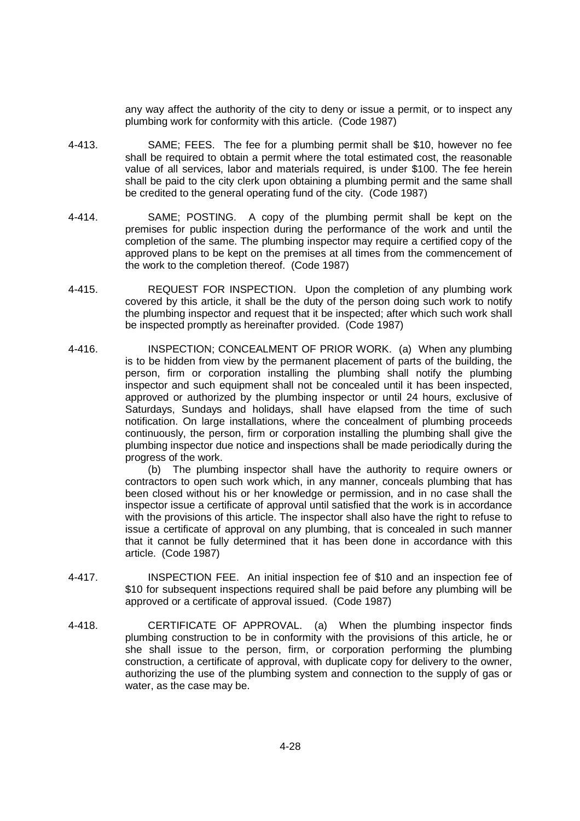any way affect the authority of the city to deny or issue a permit, or to inspect any plumbing work for conformity with this article. (Code 1987)

- 4-413. SAME; FEES. The fee for a plumbing permit shall be \$10, however no fee shall be required to obtain a permit where the total estimated cost, the reasonable value of all services, labor and materials required, is under \$100. The fee herein shall be paid to the city clerk upon obtaining a plumbing permit and the same shall be credited to the general operating fund of the city. (Code 1987)
- 4-414. SAME; POSTING. A copy of the plumbing permit shall be kept on the premises for public inspection during the performance of the work and until the completion of the same. The plumbing inspector may require a certified copy of the approved plans to be kept on the premises at all times from the commencement of the work to the completion thereof. (Code 1987)
- 4-415. REQUEST FOR INSPECTION. Upon the completion of any plumbing work covered by this article, it shall be the duty of the person doing such work to notify the plumbing inspector and request that it be inspected; after which such work shall be inspected promptly as hereinafter provided. (Code 1987)
- 4-416. INSPECTION; CONCEALMENT OF PRIOR WORK. (a) When any plumbing is to be hidden from view by the permanent placement of parts of the building, the person, firm or corporation installing the plumbing shall notify the plumbing inspector and such equipment shall not be concealed until it has been inspected, approved or authorized by the plumbing inspector or until 24 hours, exclusive of Saturdays, Sundays and holidays, shall have elapsed from the time of such notification. On large installations, where the concealment of plumbing proceeds continuously, the person, firm or corporation installing the plumbing shall give the plumbing inspector due notice and inspections shall be made periodically during the progress of the work.

(b) The plumbing inspector shall have the authority to require owners or contractors to open such work which, in any manner, conceals plumbing that has been closed without his or her knowledge or permission, and in no case shall the inspector issue a certificate of approval until satisfied that the work is in accordance with the provisions of this article. The inspector shall also have the right to refuse to issue a certificate of approval on any plumbing, that is concealed in such manner that it cannot be fully determined that it has been done in accordance with this article. (Code 1987)

- 4-417. INSPECTION FEE. An initial inspection fee of \$10 and an inspection fee of \$10 for subsequent inspections required shall be paid before any plumbing will be approved or a certificate of approval issued. (Code 1987)
- 4-418. CERTIFICATE OF APPROVAL. (a) When the plumbing inspector finds plumbing construction to be in conformity with the provisions of this article, he or she shall issue to the person, firm, or corporation performing the plumbing construction, a certificate of approval, with duplicate copy for delivery to the owner, authorizing the use of the plumbing system and connection to the supply of gas or water, as the case may be.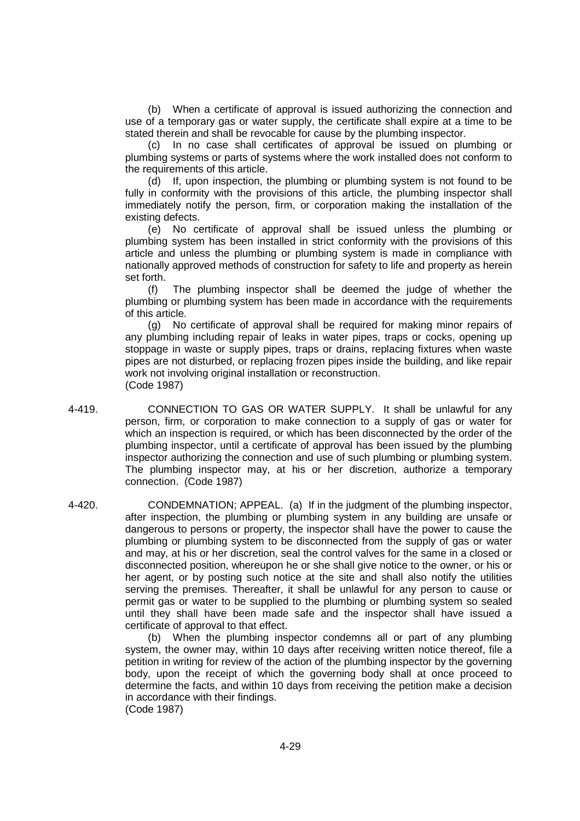(b) When a certificate of approval is issued authorizing the connection and use of a temporary gas or water supply, the certificate shall expire at a time to be stated therein and shall be revocable for cause by the plumbing inspector.

(c) In no case shall certificates of approval be issued on plumbing or plumbing systems or parts of systems where the work installed does not conform to the requirements of this article.

(d) If, upon inspection, the plumbing or plumbing system is not found to be fully in conformity with the provisions of this article, the plumbing inspector shall immediately notify the person, firm, or corporation making the installation of the existing defects.

(e) No certificate of approval shall be issued unless the plumbing or plumbing system has been installed in strict conformity with the provisions of this article and unless the plumbing or plumbing system is made in compliance with nationally approved methods of construction for safety to life and property as herein set forth.

(f) The plumbing inspector shall be deemed the judge of whether the plumbing or plumbing system has been made in accordance with the requirements of this article.

(g) No certificate of approval shall be required for making minor repairs of any plumbing including repair of leaks in water pipes, traps or cocks, opening up stoppage in waste or supply pipes, traps or drains, replacing fixtures when waste pipes are not disturbed, or replacing frozen pipes inside the building, and like repair work not involving original installation or reconstruction. (Code 1987)

- 4-419. CONNECTION TO GAS OR WATER SUPPLY. It shall be unlawful for any person, firm, or corporation to make connection to a supply of gas or water for which an inspection is required, or which has been disconnected by the order of the plumbing inspector, until a certificate of approval has been issued by the plumbing inspector authorizing the connection and use of such plumbing or plumbing system. The plumbing inspector may, at his or her discretion, authorize a temporary connection. (Code 1987)
- 4-420. CONDEMNATION; APPEAL. (a) If in the judgment of the plumbing inspector, after inspection, the plumbing or plumbing system in any building are unsafe or dangerous to persons or property, the inspector shall have the power to cause the plumbing or plumbing system to be disconnected from the supply of gas or water and may, at his or her discretion, seal the control valves for the same in a closed or disconnected position, whereupon he or she shall give notice to the owner, or his or her agent, or by posting such notice at the site and shall also notify the utilities serving the premises. Thereafter, it shall be unlawful for any person to cause or permit gas or water to be supplied to the plumbing or plumbing system so sealed until they shall have been made safe and the inspector shall have issued a certificate of approval to that effect.

(b) When the plumbing inspector condemns all or part of any plumbing system, the owner may, within 10 days after receiving written notice thereof, file a petition in writing for review of the action of the plumbing inspector by the governing body, upon the receipt of which the governing body shall at once proceed to determine the facts, and within 10 days from receiving the petition make a decision in accordance with their findings. (Code 1987)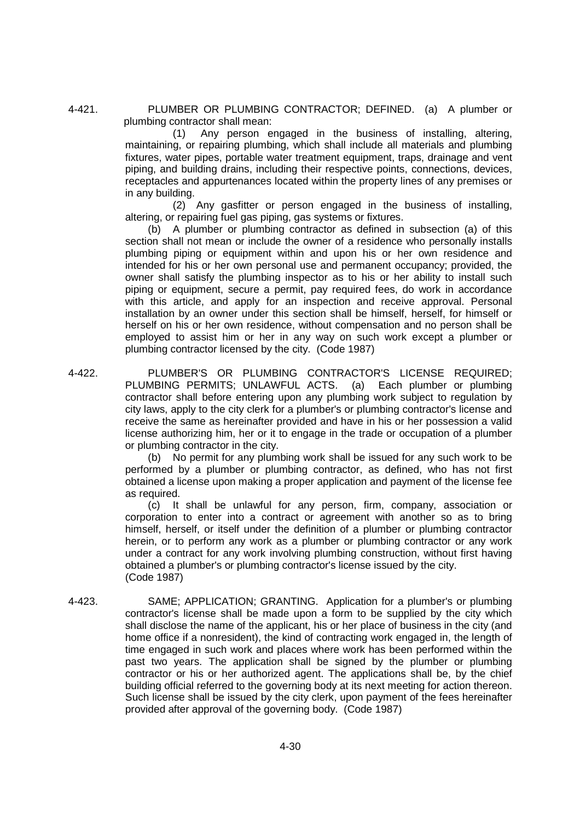4-421. PLUMBER OR PLUMBING CONTRACTOR; DEFINED. (a) A plumber or plumbing contractor shall mean:

> (1) Any person engaged in the business of installing, altering, maintaining, or repairing plumbing, which shall include all materials and plumbing fixtures, water pipes, portable water treatment equipment, traps, drainage and vent piping, and building drains, including their respective points, connections, devices, receptacles and appurtenances located within the property lines of any premises or in any building.

> (2) Any gasfitter or person engaged in the business of installing, altering, or repairing fuel gas piping, gas systems or fixtures.

> (b) A plumber or plumbing contractor as defined in subsection (a) of this section shall not mean or include the owner of a residence who personally installs plumbing piping or equipment within and upon his or her own residence and intended for his or her own personal use and permanent occupancy; provided, the owner shall satisfy the plumbing inspector as to his or her ability to install such piping or equipment, secure a permit, pay required fees, do work in accordance with this article, and apply for an inspection and receive approval. Personal installation by an owner under this section shall be himself, herself, for himself or herself on his or her own residence, without compensation and no person shall be employed to assist him or her in any way on such work except a plumber or plumbing contractor licensed by the city. (Code 1987)

4-422. PLUMBER'S OR PLUMBING CONTRACTOR'S LICENSE REQUIRED; PLUMBING PERMITS; UNLAWFUL ACTS. (a) Each plumber or plumbing contractor shall before entering upon any plumbing work subject to regulation by city laws, apply to the city clerk for a plumber's or plumbing contractor's license and receive the same as hereinafter provided and have in his or her possession a valid license authorizing him, her or it to engage in the trade or occupation of a plumber or plumbing contractor in the city.

> (b) No permit for any plumbing work shall be issued for any such work to be performed by a plumber or plumbing contractor, as defined, who has not first obtained a license upon making a proper application and payment of the license fee as required.

> (c) It shall be unlawful for any person, firm, company, association or corporation to enter into a contract or agreement with another so as to bring himself, herself, or itself under the definition of a plumber or plumbing contractor herein, or to perform any work as a plumber or plumbing contractor or any work under a contract for any work involving plumbing construction, without first having obtained a plumber's or plumbing contractor's license issued by the city. (Code 1987)

4-423. SAME; APPLICATION; GRANTING. Application for a plumber's or plumbing contractor's license shall be made upon a form to be supplied by the city which shall disclose the name of the applicant, his or her place of business in the city (and home office if a nonresident), the kind of contracting work engaged in, the length of time engaged in such work and places where work has been performed within the past two years. The application shall be signed by the plumber or plumbing contractor or his or her authorized agent. The applications shall be, by the chief building official referred to the governing body at its next meeting for action thereon. Such license shall be issued by the city clerk, upon payment of the fees hereinafter provided after approval of the governing body. (Code 1987)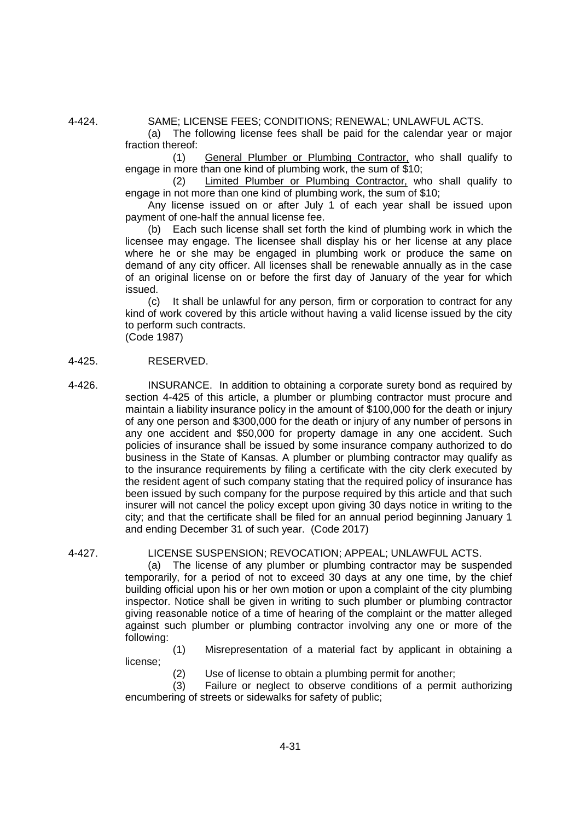4-424. SAME; LICENSE FEES; CONDITIONS; RENEWAL; UNLAWFUL ACTS.

(a) The following license fees shall be paid for the calendar year or major fraction thereof:

(1) General Plumber or Plumbing Contractor, who shall qualify to engage in more than one kind of plumbing work, the sum of \$10;

(2) Limited Plumber or Plumbing Contractor, who shall qualify to engage in not more than one kind of plumbing work, the sum of \$10;

Any license issued on or after July 1 of each year shall be issued upon payment of one-half the annual license fee.

(b) Each such license shall set forth the kind of plumbing work in which the licensee may engage. The licensee shall display his or her license at any place where he or she may be engaged in plumbing work or produce the same on demand of any city officer. All licenses shall be renewable annually as in the case of an original license on or before the first day of January of the year for which issued.

(c) It shall be unlawful for any person, firm or corporation to contract for any kind of work covered by this article without having a valid license issued by the city to perform such contracts.

(Code 1987)

#### 4-425. RESERVED.

4-426. INSURANCE. In addition to obtaining a corporate surety bond as required by section 4-425 of this article, a plumber or plumbing contractor must procure and maintain a liability insurance policy in the amount of \$100,000 for the death or injury of any one person and \$300,000 for the death or injury of any number of persons in any one accident and \$50,000 for property damage in any one accident. Such policies of insurance shall be issued by some insurance company authorized to do business in the State of Kansas. A plumber or plumbing contractor may qualify as to the insurance requirements by filing a certificate with the city clerk executed by the resident agent of such company stating that the required policy of insurance has been issued by such company for the purpose required by this article and that such insurer will not cancel the policy except upon giving 30 days notice in writing to the city; and that the certificate shall be filed for an annual period beginning January 1 and ending December 31 of such year. (Code 2017)

## 4-427. LICENSE SUSPENSION; REVOCATION; APPEAL; UNLAWFUL ACTS.

(a) The license of any plumber or plumbing contractor may be suspended temporarily, for a period of not to exceed 30 days at any one time, by the chief building official upon his or her own motion or upon a complaint of the city plumbing inspector. Notice shall be given in writing to such plumber or plumbing contractor giving reasonable notice of a time of hearing of the complaint or the matter alleged against such plumber or plumbing contractor involving any one or more of the following:

(1) Misrepresentation of a material fact by applicant in obtaining a license;

(2) Use of license to obtain a plumbing permit for another;

(3) Failure or neglect to observe conditions of a permit authorizing encumbering of streets or sidewalks for safety of public;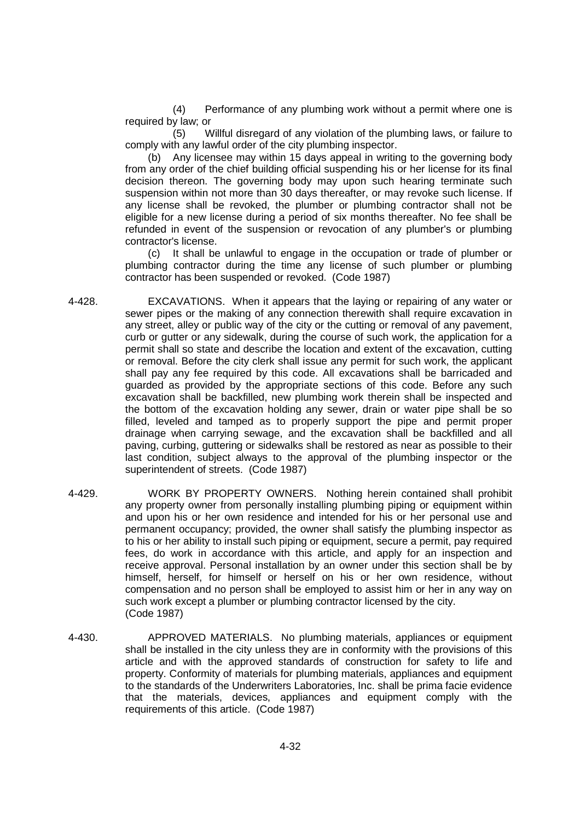(4) Performance of any plumbing work without a permit where one is required by law; or

(5) Willful disregard of any violation of the plumbing laws, or failure to comply with any lawful order of the city plumbing inspector.

(b) Any licensee may within 15 days appeal in writing to the governing body from any order of the chief building official suspending his or her license for its final decision thereon. The governing body may upon such hearing terminate such suspension within not more than 30 days thereafter, or may revoke such license. If any license shall be revoked, the plumber or plumbing contractor shall not be eligible for a new license during a period of six months thereafter. No fee shall be refunded in event of the suspension or revocation of any plumber's or plumbing contractor's license.

(c) It shall be unlawful to engage in the occupation or trade of plumber or plumbing contractor during the time any license of such plumber or plumbing contractor has been suspended or revoked. (Code 1987)

- 4-428. EXCAVATIONS. When it appears that the laying or repairing of any water or sewer pipes or the making of any connection therewith shall require excavation in any street, alley or public way of the city or the cutting or removal of any pavement, curb or gutter or any sidewalk, during the course of such work, the application for a permit shall so state and describe the location and extent of the excavation, cutting or removal. Before the city clerk shall issue any permit for such work, the applicant shall pay any fee required by this code. All excavations shall be barricaded and guarded as provided by the appropriate sections of this code. Before any such excavation shall be backfilled, new plumbing work therein shall be inspected and the bottom of the excavation holding any sewer, drain or water pipe shall be so filled, leveled and tamped as to properly support the pipe and permit proper drainage when carrying sewage, and the excavation shall be backfilled and all paving, curbing, guttering or sidewalks shall be restored as near as possible to their last condition, subject always to the approval of the plumbing inspector or the superintendent of streets. (Code 1987)
- 4-429. WORK BY PROPERTY OWNERS. Nothing herein contained shall prohibit any property owner from personally installing plumbing piping or equipment within and upon his or her own residence and intended for his or her personal use and permanent occupancy; provided, the owner shall satisfy the plumbing inspector as to his or her ability to install such piping or equipment, secure a permit, pay required fees, do work in accordance with this article, and apply for an inspection and receive approval. Personal installation by an owner under this section shall be by himself, herself, for himself or herself on his or her own residence, without compensation and no person shall be employed to assist him or her in any way on such work except a plumber or plumbing contractor licensed by the city. (Code 1987)
- 4-430. APPROVED MATERIALS. No plumbing materials, appliances or equipment shall be installed in the city unless they are in conformity with the provisions of this article and with the approved standards of construction for safety to life and property. Conformity of materials for plumbing materials, appliances and equipment to the standards of the Underwriters Laboratories, Inc. shall be prima facie evidence that the materials, devices, appliances and equipment comply with the requirements of this article. (Code 1987)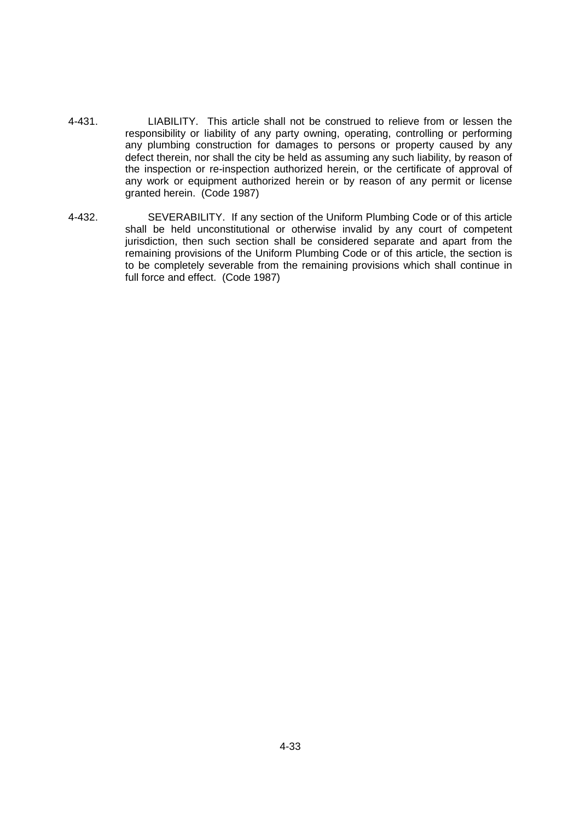- 4-431. LIABILITY. This article shall not be construed to relieve from or lessen the responsibility or liability of any party owning, operating, controlling or performing any plumbing construction for damages to persons or property caused by any defect therein, nor shall the city be held as assuming any such liability, by reason of the inspection or re-inspection authorized herein, or the certificate of approval of any work or equipment authorized herein or by reason of any permit or license granted herein. (Code 1987)
- 4-432. SEVERABILITY. If any section of the Uniform Plumbing Code or of this article shall be held unconstitutional or otherwise invalid by any court of competent jurisdiction, then such section shall be considered separate and apart from the remaining provisions of the Uniform Plumbing Code or of this article, the section is to be completely severable from the remaining provisions which shall continue in full force and effect. (Code 1987)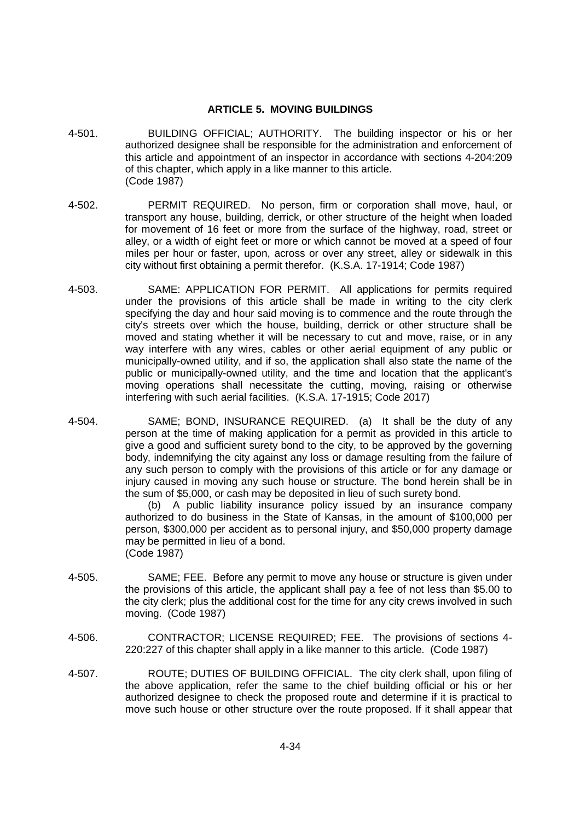## **ARTICLE 5. MOVING BUILDINGS**

- 4-501. BUILDING OFFICIAL; AUTHORITY. The building inspector or his or her authorized designee shall be responsible for the administration and enforcement of this article and appointment of an inspector in accordance with sections 4-204:209 of this chapter, which apply in a like manner to this article. (Code 1987)
- 4-502. PERMIT REQUIRED. No person, firm or corporation shall move, haul, or transport any house, building, derrick, or other structure of the height when loaded for movement of 16 feet or more from the surface of the highway, road, street or alley, or a width of eight feet or more or which cannot be moved at a speed of four miles per hour or faster, upon, across or over any street, alley or sidewalk in this city without first obtaining a permit therefor. (K.S.A. 17-1914; Code 1987)
- 4-503. SAME: APPLICATION FOR PERMIT. All applications for permits required under the provisions of this article shall be made in writing to the city clerk specifying the day and hour said moving is to commence and the route through the city's streets over which the house, building, derrick or other structure shall be moved and stating whether it will be necessary to cut and move, raise, or in any way interfere with any wires, cables or other aerial equipment of any public or municipally-owned utility, and if so, the application shall also state the name of the public or municipally-owned utility, and the time and location that the applicant's moving operations shall necessitate the cutting, moving, raising or otherwise interfering with such aerial facilities. (K.S.A. 17-1915; Code 2017)
- 4-504. SAME; BOND, INSURANCE REQUIRED. (a) It shall be the duty of any person at the time of making application for a permit as provided in this article to give a good and sufficient surety bond to the city, to be approved by the governing body, indemnifying the city against any loss or damage resulting from the failure of any such person to comply with the provisions of this article or for any damage or injury caused in moving any such house or structure. The bond herein shall be in the sum of \$5,000, or cash may be deposited in lieu of such surety bond.

(b) A public liability insurance policy issued by an insurance company authorized to do business in the State of Kansas, in the amount of \$100,000 per person, \$300,000 per accident as to personal injury, and \$50,000 property damage may be permitted in lieu of a bond. (Code 1987)

- 4-505. SAME; FEE. Before any permit to move any house or structure is given under the provisions of this article, the applicant shall pay a fee of not less than \$5.00 to the city clerk; plus the additional cost for the time for any city crews involved in such moving. (Code 1987)
- 4-506. CONTRACTOR; LICENSE REQUIRED; FEE. The provisions of sections 4- 220:227 of this chapter shall apply in a like manner to this article. (Code 1987)
- 4-507. ROUTE; DUTIES OF BUILDING OFFICIAL. The city clerk shall, upon filing of the above application, refer the same to the chief building official or his or her authorized designee to check the proposed route and determine if it is practical to move such house or other structure over the route proposed. If it shall appear that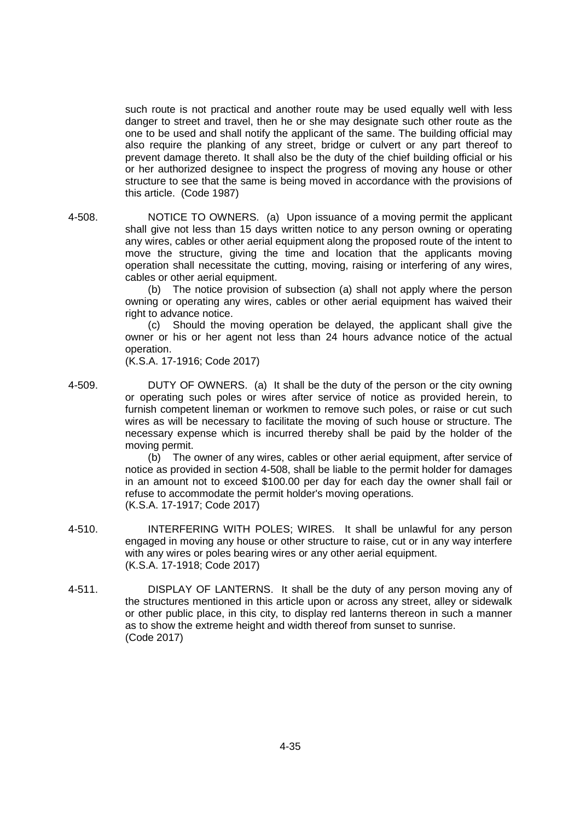such route is not practical and another route may be used equally well with less danger to street and travel, then he or she may designate such other route as the one to be used and shall notify the applicant of the same. The building official may also require the planking of any street, bridge or culvert or any part thereof to prevent damage thereto. It shall also be the duty of the chief building official or his or her authorized designee to inspect the progress of moving any house or other structure to see that the same is being moved in accordance with the provisions of this article. (Code 1987)

4-508. NOTICE TO OWNERS. (a) Upon issuance of a moving permit the applicant shall give not less than 15 days written notice to any person owning or operating any wires, cables or other aerial equipment along the proposed route of the intent to move the structure, giving the time and location that the applicants moving operation shall necessitate the cutting, moving, raising or interfering of any wires, cables or other aerial equipment.

> (b) The notice provision of subsection (a) shall not apply where the person owning or operating any wires, cables or other aerial equipment has waived their right to advance notice.

> (c) Should the moving operation be delayed, the applicant shall give the owner or his or her agent not less than 24 hours advance notice of the actual operation.

(K.S.A. 17-1916; Code 2017)

4-509. DUTY OF OWNERS. (a) It shall be the duty of the person or the city owning or operating such poles or wires after service of notice as provided herein, to furnish competent lineman or workmen to remove such poles, or raise or cut such wires as will be necessary to facilitate the moving of such house or structure. The necessary expense which is incurred thereby shall be paid by the holder of the moving permit.

(b) The owner of any wires, cables or other aerial equipment, after service of notice as provided in section 4-508, shall be liable to the permit holder for damages in an amount not to exceed \$100.00 per day for each day the owner shall fail or refuse to accommodate the permit holder's moving operations. (K.S.A. 17-1917; Code 2017)

- 4-510. INTERFERING WITH POLES; WIRES. It shall be unlawful for any person engaged in moving any house or other structure to raise, cut or in any way interfere with any wires or poles bearing wires or any other aerial equipment. (K.S.A. 17-1918; Code 2017)
- 4-511. DISPLAY OF LANTERNS. It shall be the duty of any person moving any of the structures mentioned in this article upon or across any street, alley or sidewalk or other public place, in this city, to display red lanterns thereon in such a manner as to show the extreme height and width thereof from sunset to sunrise. (Code 2017)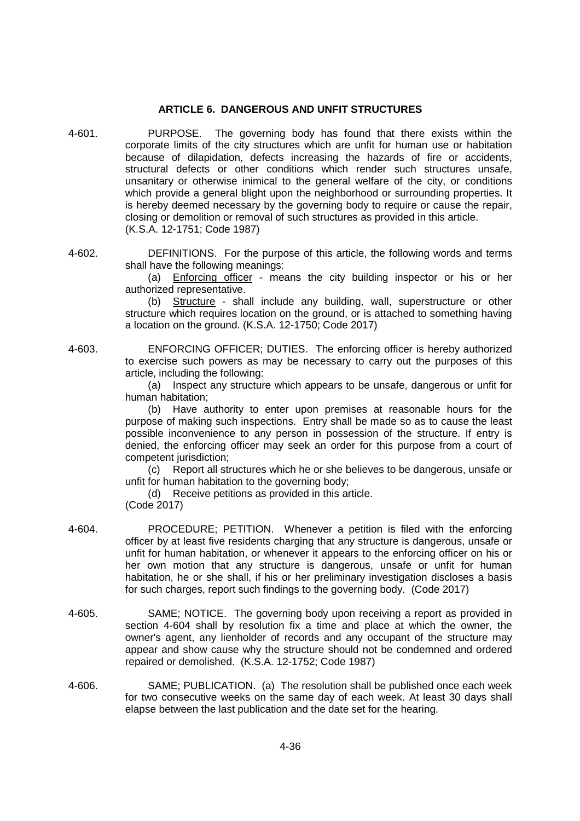# **ARTICLE 6. DANGEROUS AND UNFIT STRUCTURES**

- 4-601. PURPOSE. The governing body has found that there exists within the corporate limits of the city structures which are unfit for human use or habitation because of dilapidation, defects increasing the hazards of fire or accidents, structural defects or other conditions which render such structures unsafe, unsanitary or otherwise inimical to the general welfare of the city, or conditions which provide a general blight upon the neighborhood or surrounding properties. It is hereby deemed necessary by the governing body to require or cause the repair, closing or demolition or removal of such structures as provided in this article. (K.S.A. 12-1751; Code 1987)
- 4-602. DEFINITIONS. For the purpose of this article, the following words and terms shall have the following meanings:

(a) Enforcing officer - means the city building inspector or his or her authorized representative.

(b) Structure - shall include any building, wall, superstructure or other structure which requires location on the ground, or is attached to something having a location on the ground. (K.S.A. 12-1750; Code 2017)

4-603. ENFORCING OFFICER; DUTIES. The enforcing officer is hereby authorized to exercise such powers as may be necessary to carry out the purposes of this article, including the following:

> (a) Inspect any structure which appears to be unsafe, dangerous or unfit for human habitation;

> (b) Have authority to enter upon premises at reasonable hours for the purpose of making such inspections. Entry shall be made so as to cause the least possible inconvenience to any person in possession of the structure. If entry is denied, the enforcing officer may seek an order for this purpose from a court of competent jurisdiction;

> (c) Report all structures which he or she believes to be dangerous, unsafe or unfit for human habitation to the governing body;

(d) Receive petitions as provided in this article.

(Code 2017)

- 4-604. PROCEDURE; PETITION. Whenever a petition is filed with the enforcing officer by at least five residents charging that any structure is dangerous, unsafe or unfit for human habitation, or whenever it appears to the enforcing officer on his or her own motion that any structure is dangerous, unsafe or unfit for human habitation, he or she shall, if his or her preliminary investigation discloses a basis for such charges, report such findings to the governing body. (Code 2017)
- 4-605. SAME; NOTICE. The governing body upon receiving a report as provided in section 4-604 shall by resolution fix a time and place at which the owner, the owner's agent, any lienholder of records and any occupant of the structure may appear and show cause why the structure should not be condemned and ordered repaired or demolished. (K.S.A. 12-1752; Code 1987)
- 4-606. SAME; PUBLICATION. (a) The resolution shall be published once each week for two consecutive weeks on the same day of each week. At least 30 days shall elapse between the last publication and the date set for the hearing.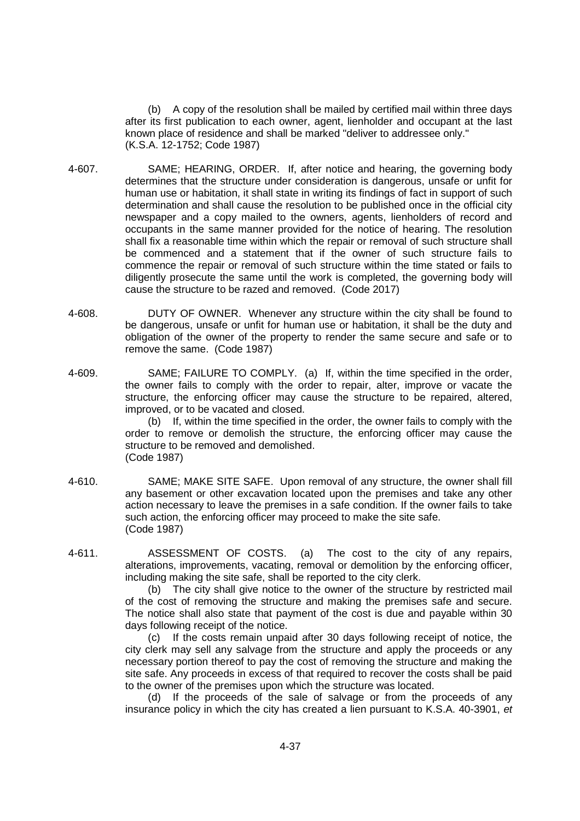(b) A copy of the resolution shall be mailed by certified mail within three days after its first publication to each owner, agent, lienholder and occupant at the last known place of residence and shall be marked "deliver to addressee only." (K.S.A. 12-1752; Code 1987)

- 4-607. SAME; HEARING, ORDER. If, after notice and hearing, the governing body determines that the structure under consideration is dangerous, unsafe or unfit for human use or habitation, it shall state in writing its findings of fact in support of such determination and shall cause the resolution to be published once in the official city newspaper and a copy mailed to the owners, agents, lienholders of record and occupants in the same manner provided for the notice of hearing. The resolution shall fix a reasonable time within which the repair or removal of such structure shall be commenced and a statement that if the owner of such structure fails to commence the repair or removal of such structure within the time stated or fails to diligently prosecute the same until the work is completed, the governing body will cause the structure to be razed and removed. (Code 2017)
- 4-608. DUTY OF OWNER. Whenever any structure within the city shall be found to be dangerous, unsafe or unfit for human use or habitation, it shall be the duty and obligation of the owner of the property to render the same secure and safe or to remove the same. (Code 1987)
- 4-609. SAME; FAILURE TO COMPLY. (a) If, within the time specified in the order, the owner fails to comply with the order to repair, alter, improve or vacate the structure, the enforcing officer may cause the structure to be repaired, altered, improved, or to be vacated and closed.

(b) If, within the time specified in the order, the owner fails to comply with the order to remove or demolish the structure, the enforcing officer may cause the structure to be removed and demolished. (Code 1987)

- 4-610. SAME; MAKE SITE SAFE. Upon removal of any structure, the owner shall fill any basement or other excavation located upon the premises and take any other action necessary to leave the premises in a safe condition. If the owner fails to take such action, the enforcing officer may proceed to make the site safe. (Code 1987)
- 4-611. ASSESSMENT OF COSTS. (a) The cost to the city of any repairs, alterations, improvements, vacating, removal or demolition by the enforcing officer, including making the site safe, shall be reported to the city clerk.

(b) The city shall give notice to the owner of the structure by restricted mail of the cost of removing the structure and making the premises safe and secure. The notice shall also state that payment of the cost is due and payable within 30 days following receipt of the notice.

(c) If the costs remain unpaid after 30 days following receipt of notice, the city clerk may sell any salvage from the structure and apply the proceeds or any necessary portion thereof to pay the cost of removing the structure and making the site safe. Any proceeds in excess of that required to recover the costs shall be paid to the owner of the premises upon which the structure was located.

(d) If the proceeds of the sale of salvage or from the proceeds of any insurance policy in which the city has created a lien pursuant to K.S.A. 40-3901, *et*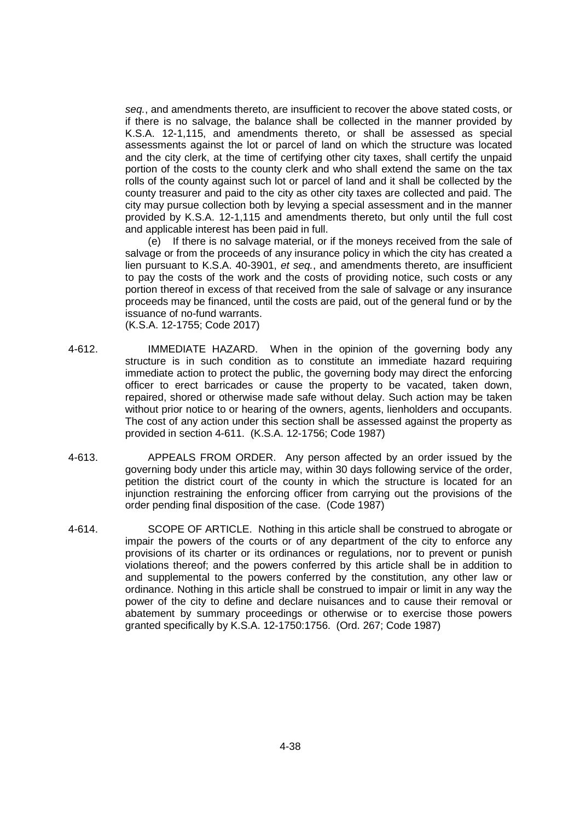*seq.*, and amendments thereto, are insufficient to recover the above stated costs, or if there is no salvage, the balance shall be collected in the manner provided by K.S.A. 12-1,115, and amendments thereto, or shall be assessed as special assessments against the lot or parcel of land on which the structure was located and the city clerk, at the time of certifying other city taxes, shall certify the unpaid portion of the costs to the county clerk and who shall extend the same on the tax rolls of the county against such lot or parcel of land and it shall be collected by the county treasurer and paid to the city as other city taxes are collected and paid. The city may pursue collection both by levying a special assessment and in the manner provided by K.S.A. 12-1,115 and amendments thereto, but only until the full cost and applicable interest has been paid in full.

(e) If there is no salvage material, or if the moneys received from the sale of salvage or from the proceeds of any insurance policy in which the city has created a lien pursuant to K.S.A. 40-3901, *et seq.*, and amendments thereto, are insufficient to pay the costs of the work and the costs of providing notice, such costs or any portion thereof in excess of that received from the sale of salvage or any insurance proceeds may be financed, until the costs are paid, out of the general fund or by the issuance of no-fund warrants.

(K.S.A. 12-1755; Code 2017)

- 4-612. IMMEDIATE HAZARD. When in the opinion of the governing body any structure is in such condition as to constitute an immediate hazard requiring immediate action to protect the public, the governing body may direct the enforcing officer to erect barricades or cause the property to be vacated, taken down, repaired, shored or otherwise made safe without delay. Such action may be taken without prior notice to or hearing of the owners, agents, lienholders and occupants. The cost of any action under this section shall be assessed against the property as provided in section 4-611. (K.S.A. 12-1756; Code 1987)
- 4-613. APPEALS FROM ORDER. Any person affected by an order issued by the governing body under this article may, within 30 days following service of the order, petition the district court of the county in which the structure is located for an injunction restraining the enforcing officer from carrying out the provisions of the order pending final disposition of the case. (Code 1987)
- 4-614. SCOPE OF ARTICLE. Nothing in this article shall be construed to abrogate or impair the powers of the courts or of any department of the city to enforce any provisions of its charter or its ordinances or regulations, nor to prevent or punish violations thereof; and the powers conferred by this article shall be in addition to and supplemental to the powers conferred by the constitution, any other law or ordinance. Nothing in this article shall be construed to impair or limit in any way the power of the city to define and declare nuisances and to cause their removal or abatement by summary proceedings or otherwise or to exercise those powers granted specifically by K.S.A. 12-1750:1756. (Ord. 267; Code 1987)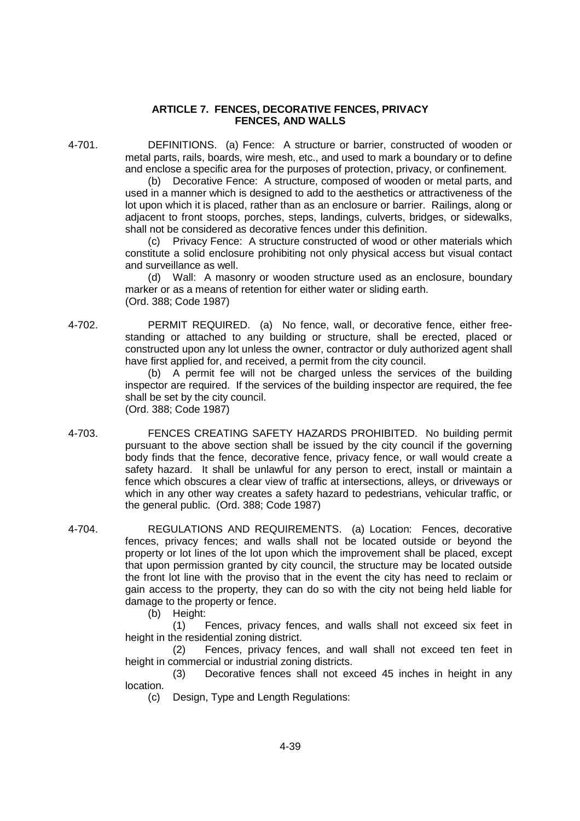## **ARTICLE 7. FENCES, DECORATIVE FENCES, PRIVACY FENCES, AND WALLS**

4-701. DEFINITIONS. (a) Fence: A structure or barrier, constructed of wooden or metal parts, rails, boards, wire mesh, etc., and used to mark a boundary or to define and enclose a specific area for the purposes of protection, privacy, or confinement.

> (b) Decorative Fence: A structure, composed of wooden or metal parts, and used in a manner which is designed to add to the aesthetics or attractiveness of the lot upon which it is placed, rather than as an enclosure or barrier. Railings, along or adjacent to front stoops, porches, steps, landings, culverts, bridges, or sidewalks, shall not be considered as decorative fences under this definition.

> (c) Privacy Fence: A structure constructed of wood or other materials which constitute a solid enclosure prohibiting not only physical access but visual contact and surveillance as well.

> (d) Wall: A masonry or wooden structure used as an enclosure, boundary marker or as a means of retention for either water or sliding earth. (Ord. 388; Code 1987)

4-702. PERMIT REQUIRED. (a) No fence, wall, or decorative fence, either freestanding or attached to any building or structure, shall be erected, placed or constructed upon any lot unless the owner, contractor or duly authorized agent shall have first applied for, and received, a permit from the city council.

> (b) A permit fee will not be charged unless the services of the building inspector are required. If the services of the building inspector are required, the fee shall be set by the city council. (Ord. 388; Code 1987)

- 4-703. FENCES CREATING SAFETY HAZARDS PROHIBITED. No building permit pursuant to the above section shall be issued by the city council if the governing body finds that the fence, decorative fence, privacy fence, or wall would create a safety hazard. It shall be unlawful for any person to erect, install or maintain a fence which obscures a clear view of traffic at intersections, alleys, or driveways or which in any other way creates a safety hazard to pedestrians, vehicular traffic, or the general public. (Ord. 388; Code 1987)
- 4-704. REGULATIONS AND REQUIREMENTS. (a) Location: Fences, decorative fences, privacy fences; and walls shall not be located outside or beyond the property or lot lines of the lot upon which the improvement shall be placed, except that upon permission granted by city council, the structure may be located outside the front lot line with the proviso that in the event the city has need to reclaim or gain access to the property, they can do so with the city not being held liable for damage to the property or fence.
	- (b) Height:

(1) Fences, privacy fences, and walls shall not exceed six feet in height in the residential zoning district.

(2) Fences, privacy fences, and wall shall not exceed ten feet in height in commercial or industrial zoning districts.

(3) Decorative fences shall not exceed 45 inches in height in any location.

(c) Design, Type and Length Regulations: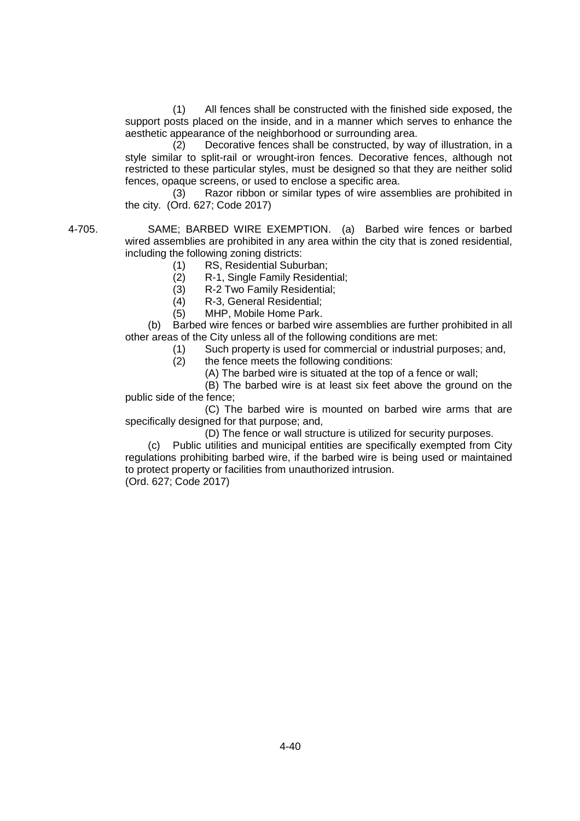(1) All fences shall be constructed with the finished side exposed, the support posts placed on the inside, and in a manner which serves to enhance the aesthetic appearance of the neighborhood or surrounding area.

(2) Decorative fences shall be constructed, by way of illustration, in a style similar to split-rail or wrought-iron fences. Decorative fences, although not restricted to these particular styles, must be designed so that they are neither solid fences, opaque screens, or used to enclose a specific area.

(3) Razor ribbon or similar types of wire assemblies are prohibited in the city. (Ord. 627; Code 2017)

4-705. SAME; BARBED WIRE EXEMPTION. (a) Barbed wire fences or barbed wired assemblies are prohibited in any area within the city that is zoned residential, including the following zoning districts:

- (1) RS, Residential Suburban;
- (2) R-1, Single Family Residential;
- (3) R-2 Two Family Residential;
- (4) R-3, General Residential;
- (5) MHP, Mobile Home Park.

(b) Barbed wire fences or barbed wire assemblies are further prohibited in all other areas of the City unless all of the following conditions are met:

(1) Such property is used for commercial or industrial purposes; and,

(2) the fence meets the following conditions:

(A) The barbed wire is situated at the top of a fence or wall;

(B) The barbed wire is at least six feet above the ground on the public side of the fence;

(C) The barbed wire is mounted on barbed wire arms that are specifically designed for that purpose; and,

(D) The fence or wall structure is utilized for security purposes.

(c) Public utilities and municipal entities are specifically exempted from City regulations prohibiting barbed wire, if the barbed wire is being used or maintained to protect property or facilities from unauthorized intrusion.

(Ord. 627; Code 2017)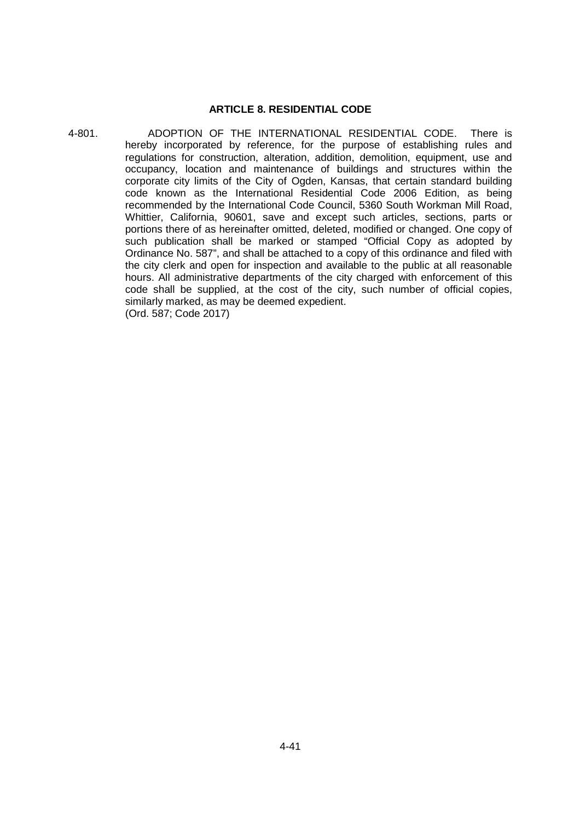### **ARTICLE 8. RESIDENTIAL CODE**

4-801. ADOPTION OF THE INTERNATIONAL RESIDENTIAL CODE. There is hereby incorporated by reference, for the purpose of establishing rules and regulations for construction, alteration, addition, demolition, equipment, use and occupancy, location and maintenance of buildings and structures within the corporate city limits of the City of Ogden, Kansas, that certain standard building code known as the International Residential Code 2006 Edition, as being recommended by the International Code Council, 5360 South Workman Mill Road, Whittier, California, 90601, save and except such articles, sections, parts or portions there of as hereinafter omitted, deleted, modified or changed. One copy of such publication shall be marked or stamped "Official Copy as adopted by Ordinance No. 587", and shall be attached to a copy of this ordinance and filed with the city clerk and open for inspection and available to the public at all reasonable hours. All administrative departments of the city charged with enforcement of this code shall be supplied, at the cost of the city, such number of official copies, similarly marked, as may be deemed expedient. (Ord. 587; Code 2017)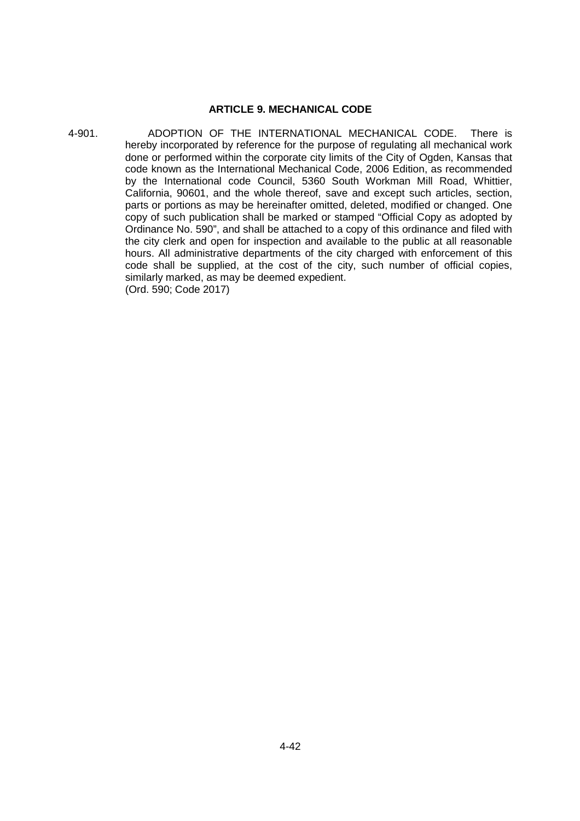# **ARTICLE 9. MECHANICAL CODE**

4-901. ADOPTION OF THE INTERNATIONAL MECHANICAL CODE. There is hereby incorporated by reference for the purpose of regulating all mechanical work done or performed within the corporate city limits of the City of Ogden, Kansas that code known as the International Mechanical Code, 2006 Edition, as recommended by the International code Council, 5360 South Workman Mill Road, Whittier, California, 90601, and the whole thereof, save and except such articles, section, parts or portions as may be hereinafter omitted, deleted, modified or changed. One copy of such publication shall be marked or stamped "Official Copy as adopted by Ordinance No. 590", and shall be attached to a copy of this ordinance and filed with the city clerk and open for inspection and available to the public at all reasonable hours. All administrative departments of the city charged with enforcement of this code shall be supplied, at the cost of the city, such number of official copies, similarly marked, as may be deemed expedient. (Ord. 590; Code 2017)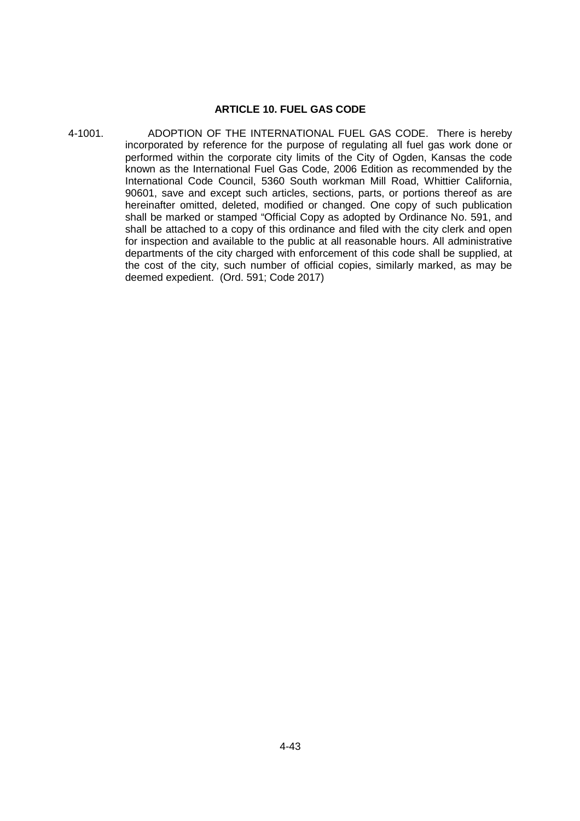## **ARTICLE 10. FUEL GAS CODE**

4-1001. ADOPTION OF THE INTERNATIONAL FUEL GAS CODE. There is hereby incorporated by reference for the purpose of regulating all fuel gas work done or performed within the corporate city limits of the City of Ogden, Kansas the code known as the International Fuel Gas Code, 2006 Edition as recommended by the International Code Council, 5360 South workman Mill Road, Whittier California, 90601, save and except such articles, sections, parts, or portions thereof as are hereinafter omitted, deleted, modified or changed. One copy of such publication shall be marked or stamped "Official Copy as adopted by Ordinance No. 591, and shall be attached to a copy of this ordinance and filed with the city clerk and open for inspection and available to the public at all reasonable hours. All administrative departments of the city charged with enforcement of this code shall be supplied, at the cost of the city, such number of official copies, similarly marked, as may be deemed expedient. (Ord. 591; Code 2017)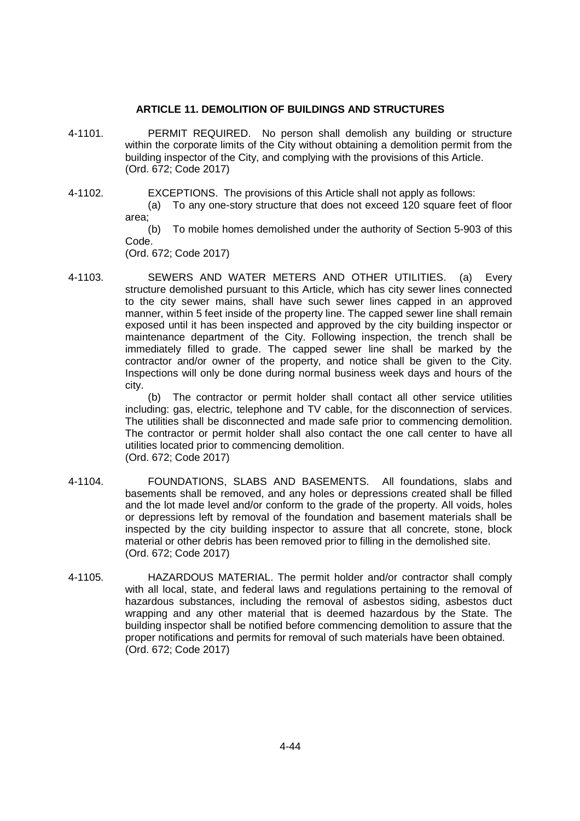# **ARTICLE 11. DEMOLITION OF BUILDINGS AND STRUCTURES**

- 4-1101. PERMIT REQUIRED. No person shall demolish any building or structure within the corporate limits of the City without obtaining a demolition permit from the building inspector of the City, and complying with the provisions of this Article. (Ord. 672; Code 2017)
- 4-1102. EXCEPTIONS. The provisions of this Article shall not apply as follows:
	- (a) To any one-story structure that does not exceed 120 square feet of floor area;

(b) To mobile homes demolished under the authority of Section 5-903 of this Code.

(Ord. 672; Code 2017)

4-1103. SEWERS AND WATER METERS AND OTHER UTILITIES. (a) Every structure demolished pursuant to this Article, which has city sewer lines connected to the city sewer mains, shall have such sewer lines capped in an approved manner, within 5 feet inside of the property line. The capped sewer line shall remain exposed until it has been inspected and approved by the city building inspector or maintenance department of the City. Following inspection, the trench shall be immediately filled to grade. The capped sewer line shall be marked by the contractor and/or owner of the property, and notice shall be given to the City. Inspections will only be done during normal business week days and hours of the city.

(b) The contractor or permit holder shall contact all other service utilities including: gas, electric, telephone and TV cable, for the disconnection of services. The utilities shall be disconnected and made safe prior to commencing demolition. The contractor or permit holder shall also contact the one call center to have all utilities located prior to commencing demolition. (Ord. 672; Code 2017)

- 4-1104. FOUNDATIONS, SLABS AND BASEMENTS. All foundations, slabs and basements shall be removed, and any holes or depressions created shall be filled and the lot made level and/or conform to the grade of the property. All voids, holes or depressions left by removal of the foundation and basement materials shall be inspected by the city building inspector to assure that all concrete, stone, block material or other debris has been removed prior to filling in the demolished site. (Ord. 672; Code 2017)
- 4-1105. HAZARDOUS MATERIAL. The permit holder and/or contractor shall comply with all local, state, and federal laws and regulations pertaining to the removal of hazardous substances, including the removal of asbestos siding, asbestos duct wrapping and any other material that is deemed hazardous by the State. The building inspector shall be notified before commencing demolition to assure that the proper notifications and permits for removal of such materials have been obtained. (Ord. 672; Code 2017)